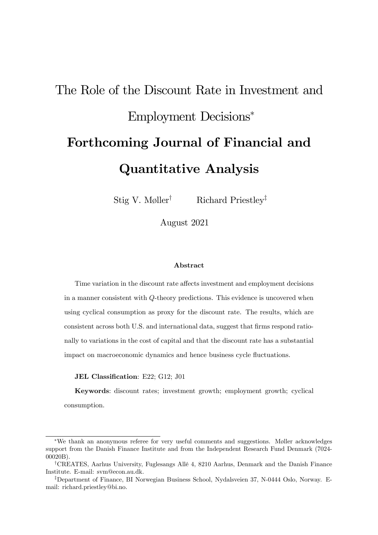# The Role of the Discount Rate in Investment and Employment Decisions Forthcoming Journal of Financial and Quantitative Analysis

Stig V. Møller<sup>†</sup> Richard Priestley<sup>‡</sup>

August 2021

#### Abstract

Time variation in the discount rate affects investment and employment decisions in a manner consistent with Q-theory predictions. This evidence is uncovered when using cyclical consumption as proxy for the discount rate. The results, which are consistent across both U.S. and international data, suggest that firms respond rationally to variations in the cost of capital and that the discount rate has a substantial impact on macroeconomic dynamics and hence business cycle fluctuations.

JEL Classification: E22; G12; J01

Keywords: discount rates; investment growth; employment growth; cyclical consumption.

<sup>\*</sup>We thank an anonymous referee for very useful comments and suggestions. Møller acknowledges support from the Danish Finance Institute and from the Independent Research Fund Denmark (7024- 00020B).

<sup>&</sup>lt;sup>†</sup>CREATES, Aarhus University, Fuglesangs Allé 4, 8210 Aarhus, Denmark and the Danish Finance Institute. E-mail: svm@econ.au.dk.

<sup>&</sup>lt;sup>‡</sup>Department of Finance, BI Norwegian Business School, Nydalsveien 37, N-0444 Oslo, Norway. Email: richard.priestley@bi.no.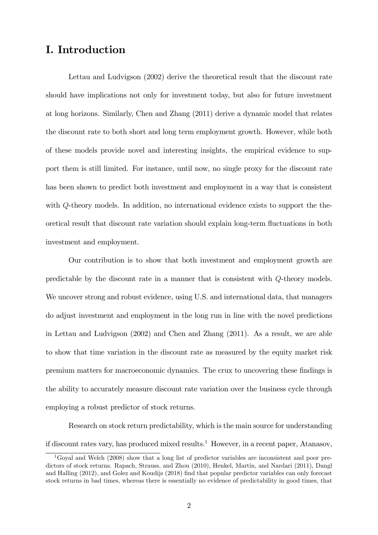# I. Introduction

Lettau and Ludvigson (2002) derive the theoretical result that the discount rate should have implications not only for investment today, but also for future investment at long horizons. Similarly, Chen and Zhang (2011) derive a dynamic model that relates the discount rate to both short and long term employment growth. However, while both of these models provide novel and interesting insights, the empirical evidence to support them is still limited. For instance, until now, no single proxy for the discount rate has been shown to predict both investment and employment in a way that is consistent with Q-theory models. In addition, no international evidence exists to support the theoretical result that discount rate variation should explain long-term áuctuations in both investment and employment.

Our contribution is to show that both investment and employment growth are predictable by the discount rate in a manner that is consistent with Q-theory models. We uncover strong and robust evidence, using U.S. and international data, that managers do adjust investment and employment in the long run in line with the novel predictions in Lettau and Ludvigson (2002) and Chen and Zhang (2011). As a result, we are able to show that time variation in the discount rate as measured by the equity market risk premium matters for macroeconomic dynamics. The crux to uncovering these findings is the ability to accurately measure discount rate variation over the business cycle through employing a robust predictor of stock returns.

Research on stock return predictability, which is the main source for understanding if discount rates vary, has produced mixed results.<sup>1</sup> However, in a recent paper, Atanasov,

<sup>1</sup>Goyal and Welch (2008) show that a long list of predictor variables are inconsistent and poor predictors of stock returns. Rapach, Strauss, and Zhou (2010), Henkel, Martin, and Nardari (2011), Dangl and Halling (2012), and Golez and Koudijs (2018) Önd that popular predictor variables can only forecast stock returns in bad times, whereas there is essentially no evidence of predictability in good times, that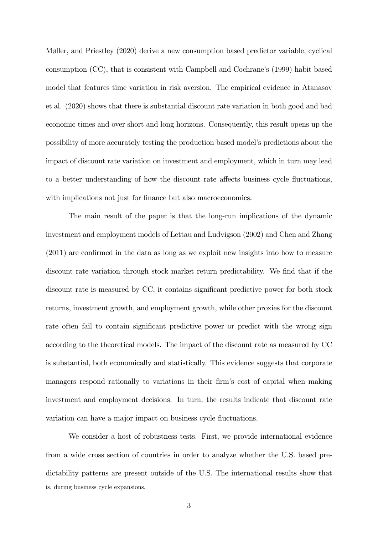Møller, and Priestley (2020) derive a new consumption based predictor variable, cyclical consumption  $(CC)$ , that is consistent with Campbell and Cochrane's  $(1999)$  habit based model that features time variation in risk aversion. The empirical evidence in Atanasov et al. (2020) shows that there is substantial discount rate variation in both good and bad economic times and over short and long horizons. Consequently, this result opens up the possibility of more accurately testing the production based modelís predictions about the impact of discount rate variation on investment and employment, which in turn may lead to a better understanding of how the discount rate affects business cycle fluctuations, with implications not just for finance but also macroeconomics.

The main result of the paper is that the long-run implications of the dynamic investment and employment models of Lettau and Ludvigson (2002) and Chen and Zhang  $(2011)$  are confirmed in the data as long as we exploit new insights into how to measure discount rate variation through stock market return predictability. We find that if the discount rate is measured by CC, it contains significant predictive power for both stock returns, investment growth, and employment growth, while other proxies for the discount rate often fail to contain significant predictive power or predict with the wrong sign according to the theoretical models. The impact of the discount rate as measured by CC is substantial, both economically and statistically. This evidence suggests that corporate managers respond rationally to variations in their firm's cost of capital when making investment and employment decisions. In turn, the results indicate that discount rate variation can have a major impact on business cycle fluctuations.

We consider a host of robustness tests. First, we provide international evidence from a wide cross section of countries in order to analyze whether the U.S. based predictability patterns are present outside of the U.S. The international results show that

is, during business cycle expansions.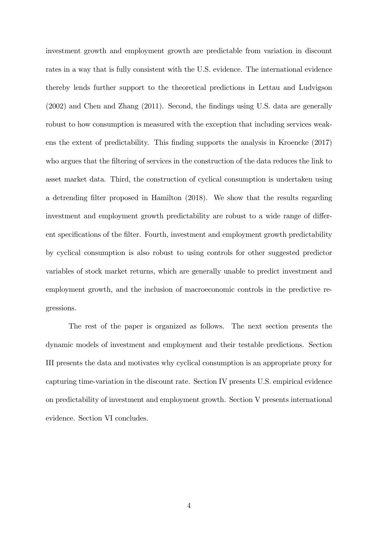investment growth and employment growth are predictable from variation in discount rates in a way that is fully consistent with the U.S. evidence. The international evidence thereby lends further support to the theoretical predictions in Lettau and Ludvigson (2002) and Chen and Zhang (2011). Second, the Öndings using U.S. data are generally robust to how consumption is measured with the exception that including services weakens the extent of predictability. This finding supports the analysis in Kroencke (2017) who argues that the filtering of services in the construction of the data reduces the link to asset market data. Third, the construction of cyclical consumption is undertaken using a detrending filter proposed in Hamilton (2018). We show that the results regarding investment and employment growth predictability are robust to a wide range of different specifications of the filter. Fourth, investment and employment growth predictability by cyclical consumption is also robust to using controls for other suggested predictor variables of stock market returns, which are generally unable to predict investment and employment growth, and the inclusion of macroeconomic controls in the predictive regressions.

The rest of the paper is organized as follows. The next section presents the dynamic models of investment and employment and their testable predictions. Section III presents the data and motivates why cyclical consumption is an appropriate proxy for capturing time-variation in the discount rate. Section IV presents U.S. empirical evidence on predictability of investment and employment growth. Section V presents international evidence. Section VI concludes.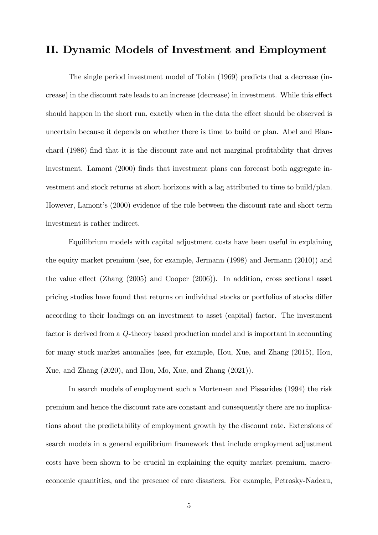# II. Dynamic Models of Investment and Employment

The single period investment model of Tobin (1969) predicts that a decrease (increase) in the discount rate leads to an increase (decrease) in investment. While this effect should happen in the short run, exactly when in the data the effect should be observed is uncertain because it depends on whether there is time to build or plan. Abel and Blanchard (1986) find that it is the discount rate and not marginal profitability that drives investment. Lamont (2000) finds that investment plans can forecast both aggregate investment and stock returns at short horizons with a lag attributed to time to build/plan. However, Lamont's (2000) evidence of the role between the discount rate and short term investment is rather indirect.

Equilibrium models with capital adjustment costs have been useful in explaining the equity market premium (see, for example, Jermann (1998) and Jermann (2010)) and the value effect (Zhang  $(2005)$  and Cooper  $(2006)$ ). In addition, cross sectional asset pricing studies have found that returns on individual stocks or portfolios of stocks differ according to their loadings on an investment to asset (capital) factor. The investment factor is derived from a Q-theory based production model and is important in accounting for many stock market anomalies (see, for example, Hou, Xue, and Zhang (2015), Hou, Xue, and Zhang (2020), and Hou, Mo, Xue, and Zhang (2021)).

In search models of employment such a Mortensen and Pissarides (1994) the risk premium and hence the discount rate are constant and consequently there are no implications about the predictability of employment growth by the discount rate. Extensions of search models in a general equilibrium framework that include employment adjustment costs have been shown to be crucial in explaining the equity market premium, macroeconomic quantities, and the presence of rare disasters. For example, Petrosky-Nadeau,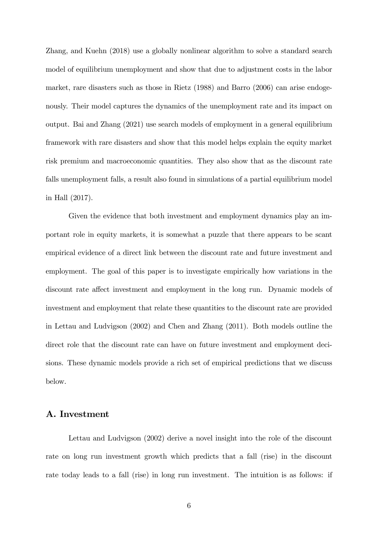Zhang, and Kuehn (2018) use a globally nonlinear algorithm to solve a standard search model of equilibrium unemployment and show that due to adjustment costs in the labor market, rare disasters such as those in Rietz (1988) and Barro (2006) can arise endogenously. Their model captures the dynamics of the unemployment rate and its impact on output. Bai and Zhang (2021) use search models of employment in a general equilibrium framework with rare disasters and show that this model helps explain the equity market risk premium and macroeconomic quantities. They also show that as the discount rate falls unemployment falls, a result also found in simulations of a partial equilibrium model in Hall (2017).

Given the evidence that both investment and employment dynamics play an important role in equity markets, it is somewhat a puzzle that there appears to be scant empirical evidence of a direct link between the discount rate and future investment and employment. The goal of this paper is to investigate empirically how variations in the discount rate affect investment and employment in the long run. Dynamic models of investment and employment that relate these quantities to the discount rate are provided in Lettau and Ludvigson (2002) and Chen and Zhang (2011). Both models outline the direct role that the discount rate can have on future investment and employment decisions. These dynamic models provide a rich set of empirical predictions that we discuss below.

# A. Investment

Lettau and Ludvigson (2002) derive a novel insight into the role of the discount rate on long run investment growth which predicts that a fall (rise) in the discount rate today leads to a fall (rise) in long run investment. The intuition is as follows: if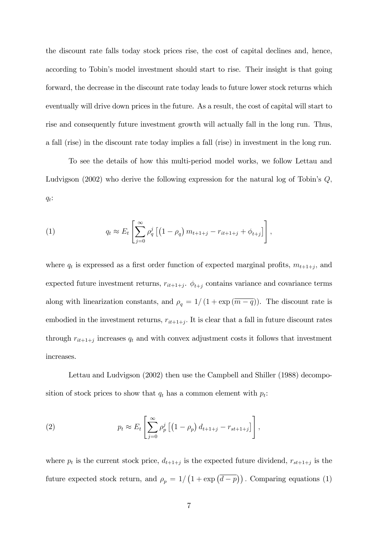the discount rate falls today stock prices rise, the cost of capital declines and, hence, according to Tobin's model investment should start to rise. Their insight is that going forward, the decrease in the discount rate today leads to future lower stock returns which eventually will drive down prices in the future. As a result, the cost of capital will start to rise and consequently future investment growth will actually fall in the long run. Thus, a fall (rise) in the discount rate today implies a fall (rise) in investment in the long run.

To see the details of how this multi-period model works, we follow Lettau and Ludvigson (2002) who derive the following expression for the natural log of Tobin's  $Q$ ,  $q_t$ :

(1) 
$$
q_t \approx E_t \left[ \sum_{j=0}^{\infty} \rho_q^j \left[ \left( 1 - \rho_q \right) m_{t+1+j} - r_{it+1+j} + \phi_{t+j} \right] \right],
$$

where  $q_t$  is expressed as a first order function of expected marginal profits,  $m_{t+1+j}$ , and expected future investment returns,  $r_{it+1+j}$ .  $\phi_{t+j}$  contains variance and covariance terms along with linearization constants, and  $\rho_q = 1/(1 + \exp(\overline{m - q}))$ . The discount rate is embodied in the investment returns,  $r_{it+1+j}$ . It is clear that a fall in future discount rates through  $r_{it+1+j}$  increases  $q_t$  and with convex adjustment costs it follows that investment increases.

Lettau and Ludvigson (2002) then use the Campbell and Shiller (1988) decomposition of stock prices to show that  $q_t$  has a common element with  $p_t$ :

(2) 
$$
p_t \approx E_t \left[ \sum_{j=0}^{\infty} \rho_p^j \left[ \left( 1 - \rho_p \right) d_{t+1+j} - r_{st+1+j} \right] \right],
$$

where  $p_t$  is the current stock price,  $d_{t+1+j}$  is the expected future dividend,  $r_{st+1+j}$  is the future expected stock return, and  $\rho_p = 1/\left(1 + \exp\left(\overline{d-p}\right)\right)$ . Comparing equations (1)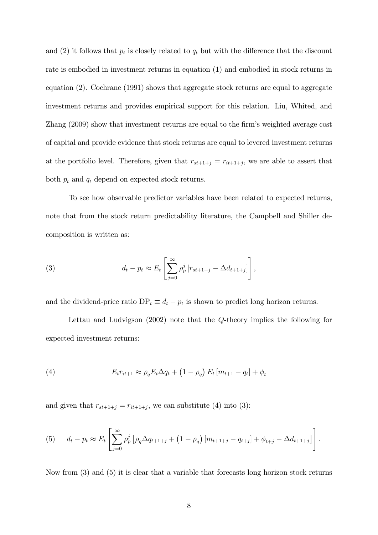and (2) it follows that  $p_t$  is closely related to  $q_t$  but with the difference that the discount rate is embodied in investment returns in equation (1) and embodied in stock returns in equation (2). Cochrane (1991) shows that aggregate stock returns are equal to aggregate investment returns and provides empirical support for this relation. Liu, Whited, and Zhang (2009) show that investment returns are equal to the firm's weighted average cost of capital and provide evidence that stock returns are equal to levered investment returns at the portfolio level. Therefore, given that  $r_{st+1+j} = r_{it+1+j}$ , we are able to assert that both  $p_t$  and  $q_t$  depend on expected stock returns.

To see how observable predictor variables have been related to expected returns, note that from the stock return predictability literature, the Campbell and Shiller decomposition is written as:

(3) 
$$
d_t - p_t \approx E_t \left[ \sum_{j=0}^{\infty} \rho_p^j \left[ r_{st+1+j} - \Delta d_{t+1+j} \right] \right],
$$

and the dividend-price ratio  $DP_t \equiv d_t - p_t$  is shown to predict long horizon returns.

Lettau and Ludvigson (2002) note that the Q-theory implies the following for expected investment returns:

(4) 
$$
E_t r_{it+1} \approx \rho_q E_t \Delta q_t + (1 - \rho_q) E_t [m_{t+1} - q_t] + \phi_t
$$

and given that  $r_{st+1+j} = r_{it+1+j}$ , we can substitute (4) into (3):

(5) 
$$
d_t - p_t \approx E_t \left[ \sum_{j=0}^{\infty} \rho_p^j \left[ \rho_q \Delta q_{t+1+j} + (1 - \rho_q) \left[ m_{t+1+j} - q_{t+j} \right] + \phi_{t+j} - \Delta d_{t+1+j} \right] \right].
$$

Now from (3) and (5) it is clear that a variable that forecasts long horizon stock returns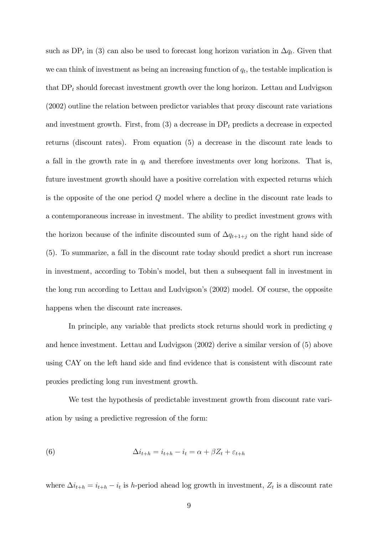such as  $DP_t$  in (3) can also be used to forecast long horizon variation in  $\Delta q_t$ . Given that we can think of investment as being an increasing function of  $q_t$ , the testable implication is that  $DP<sub>t</sub>$  should forecast investment growth over the long horizon. Lettau and Ludvigson (2002) outline the relation between predictor variables that proxy discount rate variations and investment growth. First, from  $(3)$  a decrease in DP<sub>t</sub> predicts a decrease in expected returns (discount rates). From equation (5) a decrease in the discount rate leads to a fall in the growth rate in  $q_t$  and therefore investments over long horizons. That is, future investment growth should have a positive correlation with expected returns which is the opposite of the one period Q model where a decline in the discount rate leads to a contemporaneous increase in investment. The ability to predict investment grows with the horizon because of the infinite discounted sum of  $\Delta q_{t+1+j}$  on the right hand side of (5). To summarize, a fall in the discount rate today should predict a short run increase in investment, according to Tobin's model, but then a subsequent fall in investment in the long run according to Lettau and Ludvigson's (2002) model. Of course, the opposite happens when the discount rate increases.

In principle, any variable that predicts stock returns should work in predicting  $q$ and hence investment. Lettau and Ludvigson (2002) derive a similar version of (5) above using CAY on the left hand side and find evidence that is consistent with discount rate proxies predicting long run investment growth.

We test the hypothesis of predictable investment growth from discount rate variation by using a predictive regression of the form:

(6) 
$$
\Delta i_{t+h} = i_{t+h} - i_t = \alpha + \beta Z_t + \varepsilon_{t+h}
$$

where  $\Delta i_{t+h} = i_{t+h} - i_t$  is h-period ahead log growth in investment,  $Z_t$  is a discount rate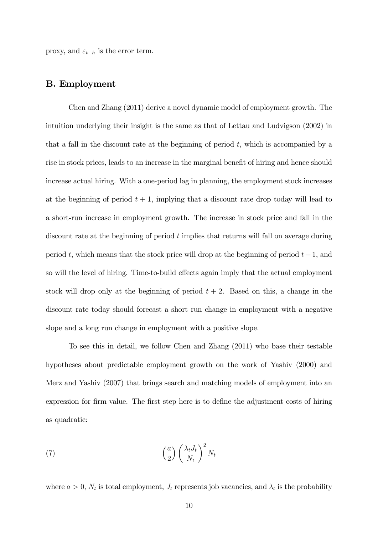proxy, and  $\varepsilon_{t+h}$  is the error term.

## B. Employment

Chen and Zhang (2011) derive a novel dynamic model of employment growth. The intuition underlying their insight is the same as that of Lettau and Ludvigson (2002) in that a fall in the discount rate at the beginning of period  $t$ , which is accompanied by a rise in stock prices, leads to an increase in the marginal benefit of hiring and hence should increase actual hiring. With a one-period lag in planning, the employment stock increases at the beginning of period  $t + 1$ , implying that a discount rate drop today will lead to a short-run increase in employment growth. The increase in stock price and fall in the discount rate at the beginning of period t implies that returns will fall on average during period t, which means that the stock price will drop at the beginning of period  $t + 1$ , and so will the level of hiring. Time-to-build effects again imply that the actual employment stock will drop only at the beginning of period  $t + 2$ . Based on this, a change in the discount rate today should forecast a short run change in employment with a negative slope and a long run change in employment with a positive slope.

To see this in detail, we follow Chen and Zhang (2011) who base their testable hypotheses about predictable employment growth on the work of Yashiv (2000) and Merz and Yashiv (2007) that brings search and matching models of employment into an expression for firm value. The first step here is to define the adjustment costs of hiring as quadratic:

(7) 
$$
\left(\frac{a}{2}\right) \left(\frac{\lambda_t J_t}{N_t}\right)^2 N_t
$$

where  $a > 0$ ,  $N_t$  is total employment,  $J_t$  represents job vacancies, and  $\lambda_t$  is the probability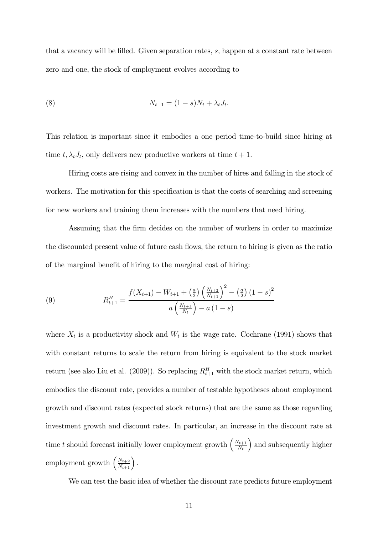that a vacancy will be filled. Given separation rates,  $s$ , happen at a constant rate between zero and one, the stock of employment evolves according to

(8) 
$$
N_{t+1} = (1-s)N_t + \lambda_t J_t.
$$

This relation is important since it embodies a one period time-to-build since hiring at time  $t, \lambda_t J_t$ , only delivers new productive workers at time  $t + 1$ .

Hiring costs are rising and convex in the number of hires and falling in the stock of workers. The motivation for this specification is that the costs of searching and screening for new workers and training them increases with the numbers that need hiring.

Assuming that the firm decides on the number of workers in order to maximize the discounted present value of future cash flows, the return to hiring is given as the ratio of the marginal benefit of hiring to the marginal cost of hiring:

(9) 
$$
R_{t+1}^H = \frac{f(X_{t+1}) - W_{t+1} + \left(\frac{a}{2}\right) \left(\frac{N_{t+2}}{N_{t+1}}\right)^2 - \left(\frac{a}{2}\right) (1-s)^2}{a \left(\frac{N_{t+1}}{N_t}\right) - a (1-s)}
$$

where  $X_t$  is a productivity shock and  $W_t$  is the wage rate. Cochrane (1991) shows that with constant returns to scale the return from hiring is equivalent to the stock market return (see also Liu et al. (2009)). So replacing  $R_{t+1}^H$  with the stock market return, which embodies the discount rate, provides a number of testable hypotheses about employment growth and discount rates (expected stock returns) that are the same as those regarding investment growth and discount rates. In particular, an increase in the discount rate at time t should forecast initially lower employment growth  $\left(\frac{N_{t+1}}{N_t}\right)$  $N_t$ ) and subsequently higher employment growth  $\left(\frac{N_{t+2}}{N_{t+1}}\right)$ .

We can test the basic idea of whether the discount rate predicts future employment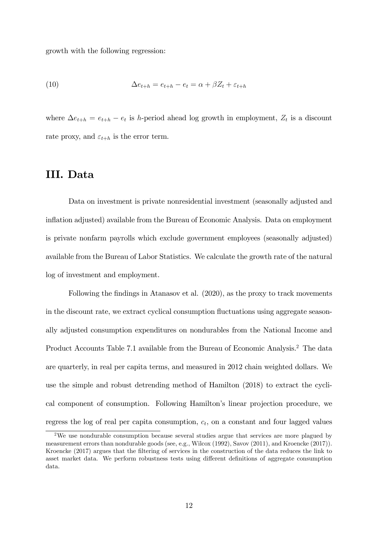growth with the following regression:

(10) 
$$
\Delta e_{t+h} = e_{t+h} - e_t = \alpha + \beta Z_t + \varepsilon_{t+h}
$$

where  $\Delta e_{t+h} = e_{t+h} - e_t$  is *h*-period ahead log growth in employment,  $Z_t$  is a discount rate proxy, and  $\varepsilon_{t+h}$  is the error term.

# III. Data

Data on investment is private nonresidential investment (seasonally adjusted and inflation adjusted) available from the Bureau of Economic Analysis. Data on employment is private nonfarm payrolls which exclude government employees (seasonally adjusted) available from the Bureau of Labor Statistics. We calculate the growth rate of the natural log of investment and employment.

Following the findings in Atanasov et al. (2020), as the proxy to track movements in the discount rate, we extract cyclical consumption fluctuations using aggregate seasonally adjusted consumption expenditures on nondurables from the National Income and Product Accounts Table 7.1 available from the Bureau of Economic Analysis.<sup>2</sup> The data are quarterly, in real per capita terms, and measured in 2012 chain weighted dollars. We use the simple and robust detrending method of Hamilton (2018) to extract the cyclical component of consumption. Following Hamilton's linear projection procedure, we regress the log of real per capita consumption,  $c_t$ , on a constant and four lagged values

<sup>&</sup>lt;sup>2</sup>We use nondurable consumption because several studies argue that services are more plagued by measurement errors than nondurable goods (see, e.g., Wilcox (1992), Savov (2011), and Kroencke (2017)). Kroencke (2017) argues that the Öltering of services in the construction of the data reduces the link to asset market data. We perform robustness tests using different definitions of aggregate consumption data.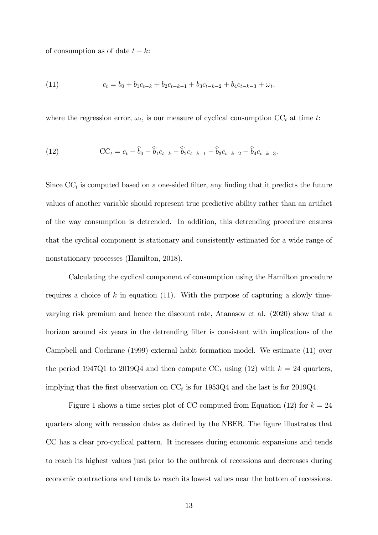of consumption as of date  $t - k$ :

(11) 
$$
c_t = b_0 + b_1 c_{t-k} + b_2 c_{t-k-1} + b_3 c_{t-k-2} + b_4 c_{t-k-3} + \omega_t,
$$

where the regression error,  $\omega_t$ , is our measure of cyclical consumption  $CC_t$  at time t:

(12) 
$$
CC_t = c_t - \widehat{b}_0 - \widehat{b}_1 c_{t-k} - \widehat{b}_2 c_{t-k-1} - \widehat{b}_3 c_{t-k-2} - \widehat{b}_4 c_{t-k-3}.
$$

Since  $\mathbf{CC}_t$  is computed based on a one-sided filter, any finding that it predicts the future values of another variable should represent true predictive ability rather than an artifact of the way consumption is detrended. In addition, this detrending procedure ensures that the cyclical component is stationary and consistently estimated for a wide range of nonstationary processes (Hamilton, 2018).

Calculating the cyclical component of consumption using the Hamilton procedure requires a choice of k in equation (11). With the purpose of capturing a slowly timevarying risk premium and hence the discount rate, Atanasov et al. (2020) show that a horizon around six years in the detrending filter is consistent with implications of the Campbell and Cochrane (1999) external habit formation model. We estimate (11) over the period 1947Q1 to 2019Q4 and then compute  $CC_t$  using (12) with  $k = 24$  quarters, implying that the first observation on  $CC_t$  is for 1953Q4 and the last is for 2019Q4.

Figure 1 shows a time series plot of CC computed from Equation (12) for  $k = 24$ quarters along with recession dates as defined by the NBER. The figure illustrates that CC has a clear pro-cyclical pattern. It increases during economic expansions and tends to reach its highest values just prior to the outbreak of recessions and decreases during economic contractions and tends to reach its lowest values near the bottom of recessions.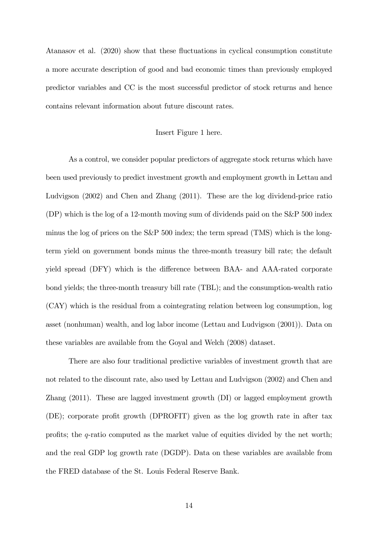Atanasov et al. (2020) show that these fluctuations in cyclical consumption constitute a more accurate description of good and bad economic times than previously employed predictor variables and CC is the most successful predictor of stock returns and hence contains relevant information about future discount rates.

#### Insert Figure 1 here.

As a control, we consider popular predictors of aggregate stock returns which have been used previously to predict investment growth and employment growth in Lettau and Ludvigson (2002) and Chen and Zhang (2011). These are the log dividend-price ratio (DP) which is the log of a 12-month moving sum of dividends paid on the S&P 500 index minus the log of prices on the S&P 500 index; the term spread (TMS) which is the longterm yield on government bonds minus the three-month treasury bill rate; the default yield spread (DFY) which is the difference between BAA- and AAA-rated corporate bond yields; the three-month treasury bill rate (TBL); and the consumption-wealth ratio (CAY) which is the residual from a cointegrating relation between log consumption, log asset (nonhuman) wealth, and log labor income (Lettau and Ludvigson (2001)). Data on these variables are available from the Goyal and Welch (2008) dataset.

There are also four traditional predictive variables of investment growth that are not related to the discount rate, also used by Lettau and Ludvigson (2002) and Chen and Zhang (2011). These are lagged investment growth (DI) or lagged employment growth (DE); corporate profit growth (DPROFIT) given as the log growth rate in after tax profits; the  $q$ -ratio computed as the market value of equities divided by the net worth; and the real GDP log growth rate (DGDP). Data on these variables are available from the FRED database of the St. Louis Federal Reserve Bank.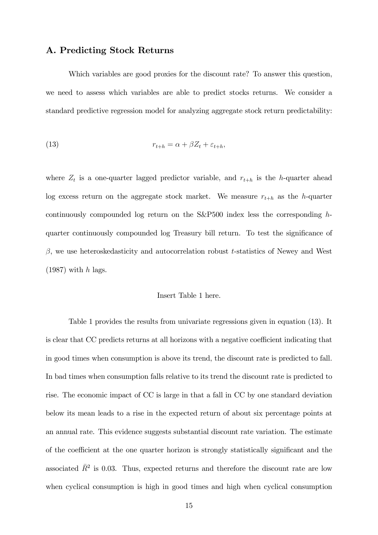# A. Predicting Stock Returns

Which variables are good proxies for the discount rate? To answer this question, we need to assess which variables are able to predict stocks returns. We consider a standard predictive regression model for analyzing aggregate stock return predictability:

(13) 
$$
r_{t+h} = \alpha + \beta Z_t + \varepsilon_{t+h},
$$

where  $Z_t$  is a one-quarter lagged predictor variable, and  $r_{t+h}$  is the h-quarter ahead log excess return on the aggregate stock market. We measure  $r_{t+h}$  as the h-quarter continuously compounded log return on the S&P500 index less the corresponding hquarter continuously compounded log Treasury bill return. To test the significance of  $\beta$ , we use heteroskedasticity and autocorrelation robust t-statistics of Newey and West  $(1987)$  with h lags.

#### Insert Table 1 here.

Table 1 provides the results from univariate regressions given in equation (13). It is clear that CC predicts returns at all horizons with a negative coefficient indicating that in good times when consumption is above its trend, the discount rate is predicted to fall. In bad times when consumption falls relative to its trend the discount rate is predicted to rise. The economic impact of CC is large in that a fall in CC by one standard deviation below its mean leads to a rise in the expected return of about six percentage points at an annual rate. This evidence suggests substantial discount rate variation. The estimate of the coefficient at the one quarter horizon is strongly statistically significant and the associated  $\bar{R}^2$  is 0.03. Thus, expected returns and therefore the discount rate are low when cyclical consumption is high in good times and high when cyclical consumption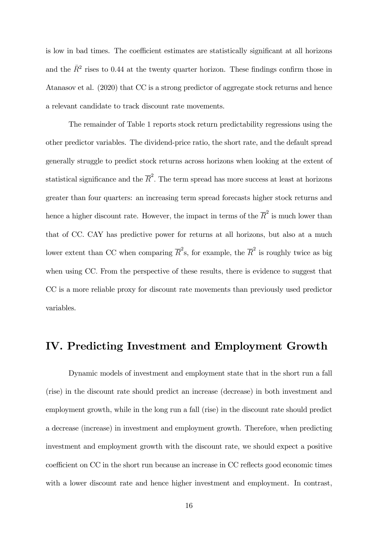is low in bad times. The coefficient estimates are statistically significant at all horizons and the  $\bar{R}^2$  rises to 0.44 at the twenty quarter horizon. These findings confirm those in Atanasov et al. (2020) that CC is a strong predictor of aggregate stock returns and hence a relevant candidate to track discount rate movements.

The remainder of Table 1 reports stock return predictability regressions using the other predictor variables. The dividend-price ratio, the short rate, and the default spread generally struggle to predict stock returns across horizons when looking at the extent of statistical significance and the  $\overline{R}^2$ . The term spread has more success at least at horizons greater than four quarters: an increasing term spread forecasts higher stock returns and hence a higher discount rate. However, the impact in terms of the  $\overline{R}^2$  is much lower than that of CC. CAY has predictive power for returns at all horizons, but also at a much lower extent than CC when comparing  $\overline{R}^2$ s, for example, the  $\overline{R}^2$  is roughly twice as big when using CC. From the perspective of these results, there is evidence to suggest that CC is a more reliable proxy for discount rate movements than previously used predictor variables.

# IV. Predicting Investment and Employment Growth

Dynamic models of investment and employment state that in the short run a fall (rise) in the discount rate should predict an increase (decrease) in both investment and employment growth, while in the long run a fall (rise) in the discount rate should predict a decrease (increase) in investment and employment growth. Therefore, when predicting investment and employment growth with the discount rate, we should expect a positive coefficient on CC in the short run because an increase in CC reflects good economic times with a lower discount rate and hence higher investment and employment. In contrast,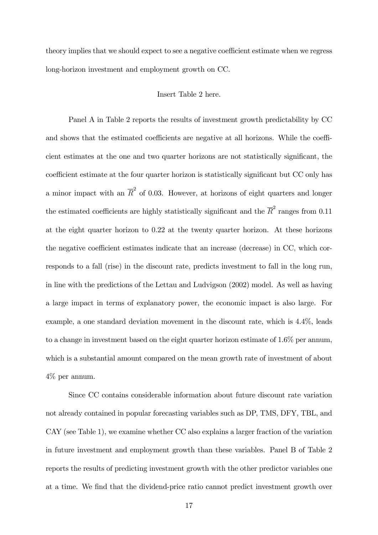theory implies that we should expect to see a negative coefficient estimate when we regress long-horizon investment and employment growth on CC.

## Insert Table 2 here.

Panel A in Table 2 reports the results of investment growth predictability by CC and shows that the estimated coefficients are negative at all horizons. While the coefficient estimates at the one and two quarter horizons are not statistically significant, the coefficient estimate at the four quarter horizon is statistically significant but CC only has a minor impact with an  $\overline{R}^2$  of 0.03. However, at horizons of eight quarters and longer the estimated coefficients are highly statistically significant and the  $\overline{R}^2$  ranges from 0.11 at the eight quarter horizon to 0.22 at the twenty quarter horizon. At these horizons the negative coefficient estimates indicate that an increase (decrease) in CC, which corresponds to a fall (rise) in the discount rate, predicts investment to fall in the long run, in line with the predictions of the Lettau and Ludvigson (2002) model. As well as having a large impact in terms of explanatory power, the economic impact is also large. For example, a one standard deviation movement in the discount rate, which is 4.4%, leads to a change in investment based on the eight quarter horizon estimate of 1.6% per annum, which is a substantial amount compared on the mean growth rate of investment of about 4% per annum.

Since CC contains considerable information about future discount rate variation not already contained in popular forecasting variables such as DP, TMS, DFY, TBL, and CAY (see Table 1), we examine whether CC also explains a larger fraction of the variation in future investment and employment growth than these variables. Panel B of Table 2 reports the results of predicting investment growth with the other predictor variables one at a time. We Önd that the dividend-price ratio cannot predict investment growth over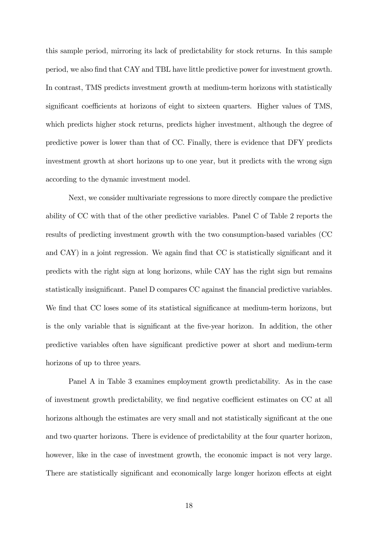this sample period, mirroring its lack of predictability for stock returns. In this sample period, we also Önd that CAY and TBL have little predictive power for investment growth. In contrast, TMS predicts investment growth at medium-term horizons with statistically significant coefficients at horizons of eight to sixteen quarters. Higher values of TMS, which predicts higher stock returns, predicts higher investment, although the degree of predictive power is lower than that of CC. Finally, there is evidence that DFY predicts investment growth at short horizons up to one year, but it predicts with the wrong sign according to the dynamic investment model.

Next, we consider multivariate regressions to more directly compare the predictive ability of CC with that of the other predictive variables. Panel C of Table 2 reports the results of predicting investment growth with the two consumption-based variables (CC and CAY) in a joint regression. We again find that CC is statistically significant and it predicts with the right sign at long horizons, while CAY has the right sign but remains statistically insignificant. Panel D compares CC against the financial predictive variables. We find that CC loses some of its statistical significance at medium-term horizons, but is the only variable that is significant at the five-year horizon. In addition, the other predictive variables often have significant predictive power at short and medium-term horizons of up to three years.

Panel A in Table 3 examines employment growth predictability. As in the case of investment growth predictability, we find negative coefficient estimates on CC at all horizons although the estimates are very small and not statistically significant at the one and two quarter horizons. There is evidence of predictability at the four quarter horizon, however, like in the case of investment growth, the economic impact is not very large. There are statistically significant and economically large longer horizon effects at eight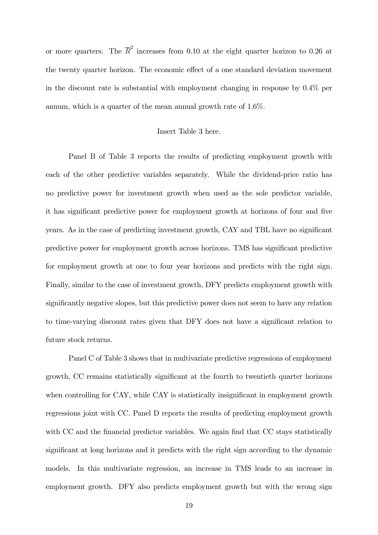or more quarters. The  $\overline{R}^2$  increases from 0.10 at the eight quarter horizon to 0.26 at the twenty quarter horizon. The economic effect of a one standard deviation movement in the discount rate is substantial with employment changing in response by 0.4% per annum, which is a quarter of the mean annual growth rate of 1.6%.

#### Insert Table 3 here.

Panel B of Table 3 reports the results of predicting employment growth with each of the other predictive variables separately. While the dividend-price ratio has no predictive power for investment growth when used as the sole predictor variable, it has significant predictive power for employment growth at horizons of four and five years. As in the case of predicting investment growth, CAY and TBL have no significant predictive power for employment growth across horizons. TMS has significant predictive for employment growth at one to four year horizons and predicts with the right sign. Finally, similar to the case of investment growth, DFY predicts employment growth with significantly negative slopes, but this predictive power does not seem to have any relation to time-varying discount rates given that DFY does not have a significant relation to future stock returns.

Panel C of Table 3 shows that in multivariate predictive regressions of employment growth, CC remains statistically significant at the fourth to twentieth quarter horizons when controlling for CAY, while CAY is statistically insignificant in employment growth regressions joint with CC. Panel D reports the results of predicting employment growth with CC and the financial predictor variables. We again find that CC stays statistically significant at long horizons and it predicts with the right sign according to the dynamic models. In this multivariate regression, an increase in TMS leads to an increase in employment growth. DFY also predicts employment growth but with the wrong sign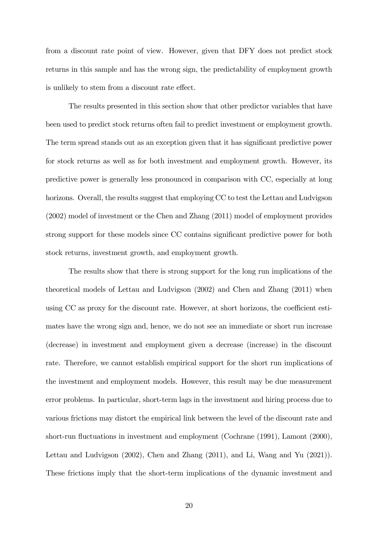from a discount rate point of view. However, given that DFY does not predict stock returns in this sample and has the wrong sign, the predictability of employment growth is unlikely to stem from a discount rate effect.

The results presented in this section show that other predictor variables that have been used to predict stock returns often fail to predict investment or employment growth. The term spread stands out as an exception given that it has significant predictive power for stock returns as well as for both investment and employment growth. However, its predictive power is generally less pronounced in comparison with CC, especially at long horizons. Overall, the results suggest that employing CC to test the Lettau and Ludvigson (2002) model of investment or the Chen and Zhang (2011) model of employment provides strong support for these models since CC contains significant predictive power for both stock returns, investment growth, and employment growth.

The results show that there is strong support for the long run implications of the theoretical models of Lettau and Ludvigson (2002) and Chen and Zhang (2011) when using CC as proxy for the discount rate. However, at short horizons, the coefficient estimates have the wrong sign and, hence, we do not see an immediate or short run increase (decrease) in investment and employment given a decrease (increase) in the discount rate. Therefore, we cannot establish empirical support for the short run implications of the investment and employment models. However, this result may be due measurement error problems. In particular, short-term lags in the investment and hiring process due to various frictions may distort the empirical link between the level of the discount rate and short-run fluctuations in investment and employment (Cochrane (1991), Lamont (2000), Lettau and Ludvigson (2002), Chen and Zhang (2011), and Li, Wang and Yu (2021)). These frictions imply that the short-term implications of the dynamic investment and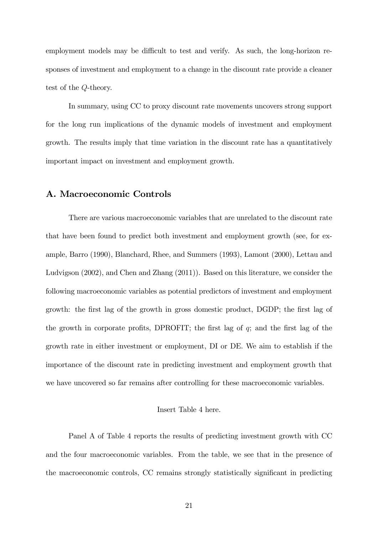employment models may be difficult to test and verify. As such, the long-horizon responses of investment and employment to a change in the discount rate provide a cleaner test of the Q-theory.

In summary, using CC to proxy discount rate movements uncovers strong support for the long run implications of the dynamic models of investment and employment growth. The results imply that time variation in the discount rate has a quantitatively important impact on investment and employment growth.

# A. Macroeconomic Controls

There are various macroeconomic variables that are unrelated to the discount rate that have been found to predict both investment and employment growth (see, for example, Barro (1990), Blanchard, Rhee, and Summers (1993), Lamont (2000), Lettau and Ludvigson (2002), and Chen and Zhang (2011)). Based on this literature, we consider the following macroeconomic variables as potential predictors of investment and employment growth: the first lag of the growth in gross domestic product, DGDP; the first lag of the growth in corporate profits, DPROFIT; the first lag of  $q$ ; and the first lag of the growth rate in either investment or employment, DI or DE. We aim to establish if the importance of the discount rate in predicting investment and employment growth that we have uncovered so far remains after controlling for these macroeconomic variables.

#### Insert Table 4 here.

Panel A of Table 4 reports the results of predicting investment growth with CC and the four macroeconomic variables. From the table, we see that in the presence of the macroeconomic controls, CC remains strongly statistically significant in predicting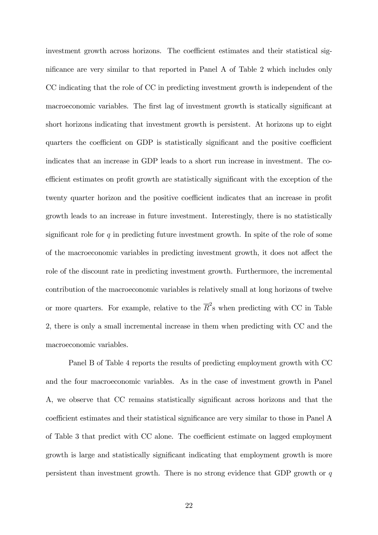investment growth across horizons. The coefficient estimates and their statistical significance are very similar to that reported in Panel A of Table 2 which includes only CC indicating that the role of CC in predicting investment growth is independent of the macroeconomic variables. The first lag of investment growth is statically significant at short horizons indicating that investment growth is persistent. At horizons up to eight quarters the coefficient on GDP is statistically significant and the positive coefficient indicates that an increase in GDP leads to a short run increase in investment. The coefficient estimates on profit growth are statistically significant with the exception of the twenty quarter horizon and the positive coefficient indicates that an increase in profit growth leads to an increase in future investment. Interestingly, there is no statistically significant role for  $q$  in predicting future investment growth. In spite of the role of some of the macroeconomic variables in predicting investment growth, it does not affect the role of the discount rate in predicting investment growth. Furthermore, the incremental contribution of the macroeconomic variables is relatively small at long horizons of twelve or more quarters. For example, relative to the  $\overline{R}^2$ s when predicting with CC in Table 2, there is only a small incremental increase in them when predicting with CC and the macroeconomic variables.

Panel B of Table 4 reports the results of predicting employment growth with CC and the four macroeconomic variables. As in the case of investment growth in Panel A, we observe that CC remains statistically significant across horizons and that the coefficient estimates and their statistical significance are very similar to those in Panel A of Table 3 that predict with CC alone. The coefficient estimate on lagged employment growth is large and statistically significant indicating that employment growth is more persistent than investment growth. There is no strong evidence that GDP growth or q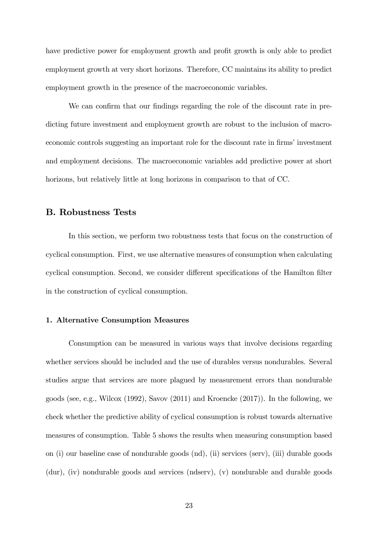have predictive power for employment growth and profit growth is only able to predict employment growth at very short horizons. Therefore, CC maintains its ability to predict employment growth in the presence of the macroeconomic variables.

We can confirm that our findings regarding the role of the discount rate in predicting future investment and employment growth are robust to the inclusion of macroeconomic controls suggesting an important role for the discount rate in firms' investment and employment decisions. The macroeconomic variables add predictive power at short horizons, but relatively little at long horizons in comparison to that of CC.

## B. Robustness Tests

In this section, we perform two robustness tests that focus on the construction of cyclical consumption. First, we use alternative measures of consumption when calculating cyclical consumption. Second, we consider different specifications of the Hamilton filter in the construction of cyclical consumption.

#### 1. Alternative Consumption Measures

Consumption can be measured in various ways that involve decisions regarding whether services should be included and the use of durables versus nondurables. Several studies argue that services are more plagued by measurement errors than nondurable goods (see, e.g., Wilcox (1992), Savov (2011) and Kroencke (2017)). In the following, we check whether the predictive ability of cyclical consumption is robust towards alternative measures of consumption. Table 5 shows the results when measuring consumption based on (i) our baseline case of nondurable goods (nd), (ii) services (serv), (iii) durable goods (dur), (iv) nondurable goods and services (ndserv), (v) nondurable and durable goods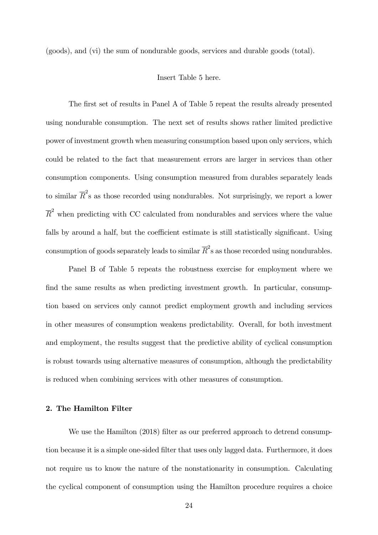(goods), and (vi) the sum of nondurable goods, services and durable goods (total).

#### Insert Table 5 here.

The first set of results in Panel A of Table 5 repeat the results already presented using nondurable consumption. The next set of results shows rather limited predictive power of investment growth when measuring consumption based upon only services, which could be related to the fact that measurement errors are larger in services than other consumption components. Using consumption measured from durables separately leads to similar  $\overline{R}^2$ s as those recorded using nondurables. Not surprisingly, we report a lower  $\overline{R}^2$  when predicting with CC calculated from nondurables and services where the value falls by around a half, but the coefficient estimate is still statistically significant. Using consumption of goods separately leads to similar  $\overline{R}^2$ s as those recorded using nondurables.

Panel B of Table 5 repeats the robustness exercise for employment where we find the same results as when predicting investment growth. In particular, consumption based on services only cannot predict employment growth and including services in other measures of consumption weakens predictability. Overall, for both investment and employment, the results suggest that the predictive ability of cyclical consumption is robust towards using alternative measures of consumption, although the predictability is reduced when combining services with other measures of consumption.

#### 2. The Hamilton Filter

We use the Hamilton (2018) filter as our preferred approach to detrend consumption because it is a simple one-sided Ölter that uses only lagged data. Furthermore, it does not require us to know the nature of the nonstationarity in consumption. Calculating the cyclical component of consumption using the Hamilton procedure requires a choice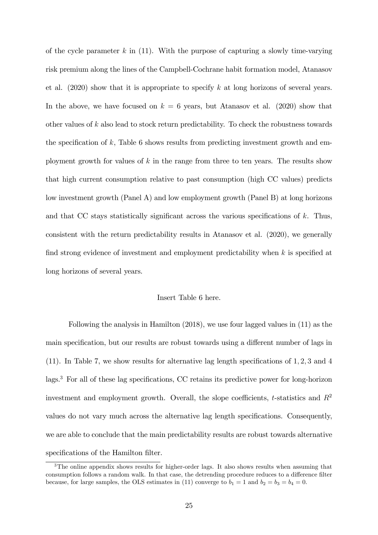of the cycle parameter k in  $(11)$ . With the purpose of capturing a slowly time-varying risk premium along the lines of the Campbell-Cochrane habit formation model, Atanasov et al.  $(2020)$  show that it is appropriate to specify k at long horizons of several years. In the above, we have focused on  $k = 6$  years, but Atanasov et al. (2020) show that other values of k also lead to stock return predictability. To check the robustness towards the specification of k, Table 6 shows results from predicting investment growth and employment growth for values of k in the range from three to ten years. The results show that high current consumption relative to past consumption (high CC values) predicts low investment growth (Panel A) and low employment growth (Panel B) at long horizons and that CC stays statistically significant across the various specifications of  $k$ . Thus, consistent with the return predictability results in Atanasov et al. (2020), we generally find strong evidence of investment and employment predictability when  $k$  is specified at long horizons of several years.

#### Insert Table 6 here.

Following the analysis in Hamilton (2018), we use four lagged values in (11) as the main specification, but our results are robust towards using a different number of lags in (11). In Table 7, we show results for alternative lag length specifications of  $1, 2, 3$  and  $4$  $\log s$ <sup>3</sup>. For all of these lag specifications, CC retains its predictive power for long-horizon investment and employment growth. Overall, the slope coefficients, t-statistics and  $R^2$ values do not vary much across the alternative lag length specifications. Consequently, we are able to conclude that the main predictability results are robust towards alternative specifications of the Hamilton filter.

<sup>&</sup>lt;sup>3</sup>The online appendix shows results for higher-order lags. It also shows results when assuming that consumption follows a random walk. In that case, the detrending procedure reduces to a difference filter because, for large samples, the OLS estimates in (11) converge to  $b_1 = 1$  and  $b_2 = b_3 = b_4 = 0$ .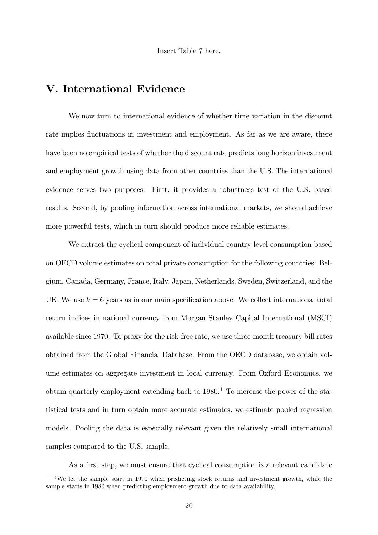Insert Table 7 here.

# V. International Evidence

We now turn to international evidence of whether time variation in the discount rate implies fluctuations in investment and employment. As far as we are aware, there have been no empirical tests of whether the discount rate predicts long horizon investment and employment growth using data from other countries than the U.S. The international evidence serves two purposes. First, it provides a robustness test of the U.S. based results. Second, by pooling information across international markets, we should achieve more powerful tests, which in turn should produce more reliable estimates.

We extract the cyclical component of individual country level consumption based on OECD volume estimates on total private consumption for the following countries: Belgium, Canada, Germany, France, Italy, Japan, Netherlands, Sweden, Switzerland, and the UK. We use  $k = 6$  years as in our main specification above. We collect international total return indices in national currency from Morgan Stanley Capital International (MSCI) available since 1970. To proxy for the risk-free rate, we use three-month treasury bill rates obtained from the Global Financial Database. From the OECD database, we obtain volume estimates on aggregate investment in local currency. From Oxford Economics, we obtain quarterly employment extending back to 1980.<sup>4</sup> To increase the power of the statistical tests and in turn obtain more accurate estimates, we estimate pooled regression models. Pooling the data is especially relevant given the relatively small international samples compared to the U.S. sample.

As a first step, we must ensure that cyclical consumption is a relevant candidate

<sup>4</sup>We let the sample start in 1970 when predicting stock returns and investment growth, while the sample starts in 1980 when predicting employment growth due to data availability.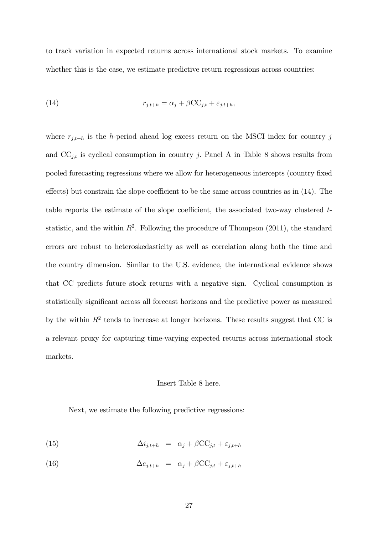to track variation in expected returns across international stock markets. To examine whether this is the case, we estimate predictive return regressions across countries:

(14) 
$$
r_{j,t+h} = \alpha_j + \beta \mathbf{CC}_{j,t} + \varepsilon_{j,t+h},
$$

where  $r_{i,t+h}$  is the h-period ahead log excess return on the MSCI index for country j and  $CC_{j,t}$  is cyclical consumption in country j. Panel A in Table 8 shows results from pooled forecasting regressions where we allow for heterogeneous intercepts (country Öxed effects) but constrain the slope coefficient to be the same across countries as in  $(14)$ . The table reports the estimate of the slope coefficient, the associated two-way clustered  $t$ statistic, and the within  $R^2$ . Following the procedure of Thompson (2011), the standard errors are robust to heteroskedasticity as well as correlation along both the time and the country dimension. Similar to the U.S. evidence, the international evidence shows that CC predicts future stock returns with a negative sign. Cyclical consumption is statistically significant across all forecast horizons and the predictive power as measured by the within  $R^2$  tends to increase at longer horizons. These results suggest that CC is a relevant proxy for capturing time-varying expected returns across international stock markets.

#### Insert Table 8 here.

Next, we estimate the following predictive regressions:

(15) 
$$
\Delta i_{j,t+h} = \alpha_j + \beta \mathbf{CC}_{j,t} + \varepsilon_{j,t+h}
$$

(16) 
$$
\Delta e_{j,t+h} = \alpha_j + \beta \mathbf{CC}_{j,t} + \varepsilon_{j,t+h}
$$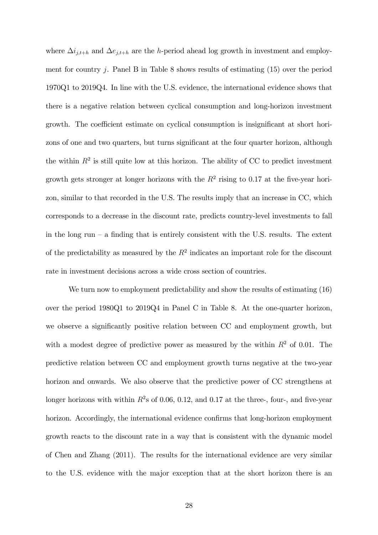where  $\Delta i_{j,t+h}$  and  $\Delta e_{j,t+h}$  are the h-period ahead log growth in investment and employment for country j. Panel B in Table 8 shows results of estimating  $(15)$  over the period 1970Q1 to 2019Q4. In line with the U.S. evidence, the international evidence shows that there is a negative relation between cyclical consumption and long-horizon investment growth. The coefficient estimate on cyclical consumption is insignificant at short horizons of one and two quarters, but turns significant at the four quarter horizon, although the within  $R^2$  is still quite low at this horizon. The ability of CC to predict investment growth gets stronger at longer horizons with the  $R^2$  rising to 0.17 at the five-year horizon, similar to that recorded in the U.S. The results imply that an increase in CC, which corresponds to a decrease in the discount rate, predicts country-level investments to fall in the long run  $-$  a finding that is entirely consistent with the U.S. results. The extent of the predictability as measured by the  $R^2$  indicates an important role for the discount rate in investment decisions across a wide cross section of countries.

We turn now to employment predictability and show the results of estimating (16) over the period 1980Q1 to 2019Q4 in Panel C in Table 8. At the one-quarter horizon, we observe a significantly positive relation between CC and employment growth, but with a modest degree of predictive power as measured by the within  $R^2$  of 0.01. The predictive relation between CC and employment growth turns negative at the two-year horizon and onwards. We also observe that the predictive power of CC strengthens at longer horizons with within  $R^2$ s of 0.06, 0.12, and 0.17 at the three-, four-, and five-year horizon. Accordingly, the international evidence confirms that long-horizon employment growth reacts to the discount rate in a way that is consistent with the dynamic model of Chen and Zhang (2011). The results for the international evidence are very similar to the U.S. evidence with the major exception that at the short horizon there is an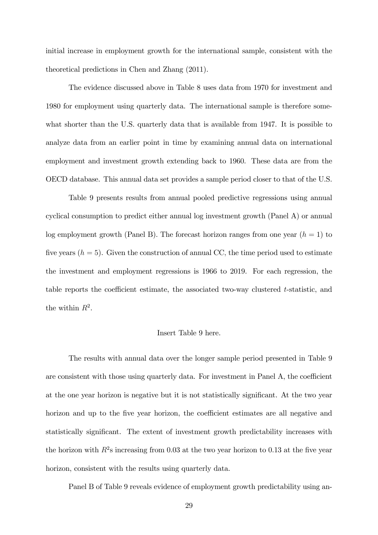initial increase in employment growth for the international sample, consistent with the theoretical predictions in Chen and Zhang (2011).

The evidence discussed above in Table 8 uses data from 1970 for investment and 1980 for employment using quarterly data. The international sample is therefore somewhat shorter than the U.S. quarterly data that is available from 1947. It is possible to analyze data from an earlier point in time by examining annual data on international employment and investment growth extending back to 1960. These data are from the OECD database. This annual data set provides a sample period closer to that of the U.S.

Table 9 presents results from annual pooled predictive regressions using annual cyclical consumption to predict either annual log investment growth (Panel A) or annual log employment growth (Panel B). The forecast horizon ranges from one year  $(h = 1)$  to five years  $(h = 5)$ . Given the construction of annual CC, the time period used to estimate the investment and employment regressions is 1966 to 2019. For each regression, the table reports the coefficient estimate, the associated two-way clustered  $t$ -statistic, and the within  $R^2$ .

#### Insert Table 9 here.

The results with annual data over the longer sample period presented in Table 9 are consistent with those using quarterly data. For investment in Panel  $A$ , the coefficient at the one year horizon is negative but it is not statistically significant. At the two year horizon and up to the five year horizon, the coefficient estimates are all negative and statistically significant. The extent of investment growth predictability increases with the horizon with  $R^2$ s increasing from 0.03 at the two year horizon to 0.13 at the five year horizon, consistent with the results using quarterly data.

Panel B of Table 9 reveals evidence of employment growth predictability using an-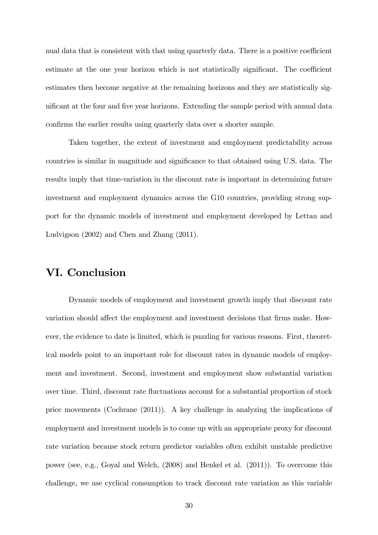nual data that is consistent with that using quarterly data. There is a positive coefficient estimate at the one year horizon which is not statistically significant. The coefficient estimates then become negative at the remaining horizons and they are statistically significant at the four and five year horizons. Extending the sample period with annual data confirms the earlier results using quarterly data over a shorter sample.

Taken together, the extent of investment and employment predictability across countries is similar in magnitude and significance to that obtained using U.S. data. The results imply that time-variation in the discount rate is important in determining future investment and employment dynamics across the G10 countries, providing strong support for the dynamic models of investment and employment developed by Lettau and Ludvigson (2002) and Chen and Zhang (2011).

# VI. Conclusion

Dynamic models of employment and investment growth imply that discount rate variation should affect the employment and investment decisions that firms make. However, the evidence to date is limited, which is puzzling for various reasons. First, theoretical models point to an important role for discount rates in dynamic models of employment and investment. Second, investment and employment show substantial variation over time. Third, discount rate áuctuations account for a substantial proportion of stock price movements (Cochrane (2011)). A key challenge in analyzing the implications of employment and investment models is to come up with an appropriate proxy for discount rate variation because stock return predictor variables often exhibit unstable predictive power (see, e.g., Goyal and Welch, (2008) and Henkel et al. (2011)). To overcome this challenge, we use cyclical consumption to track discount rate variation as this variable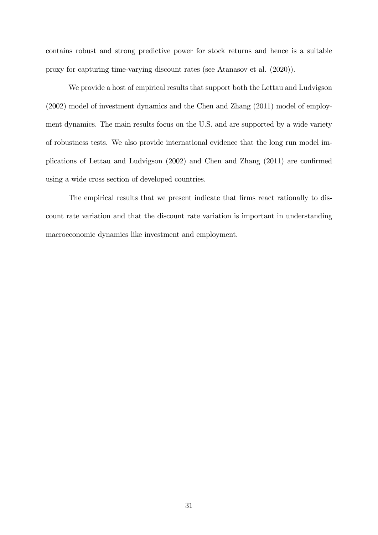contains robust and strong predictive power for stock returns and hence is a suitable proxy for capturing time-varying discount rates (see Atanasov et al. (2020)).

We provide a host of empirical results that support both the Lettau and Ludvigson (2002) model of investment dynamics and the Chen and Zhang (2011) model of employment dynamics. The main results focus on the U.S. and are supported by a wide variety of robustness tests. We also provide international evidence that the long run model implications of Lettau and Ludvigson  $(2002)$  and Chen and Zhang  $(2011)$  are confirmed using a wide cross section of developed countries.

The empirical results that we present indicate that firms react rationally to discount rate variation and that the discount rate variation is important in understanding macroeconomic dynamics like investment and employment.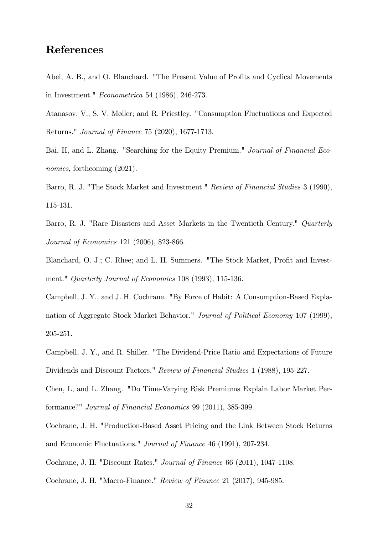# References

Abel, A. B., and O. Blanchard. "The Present Value of Profits and Cyclical Movements in Investment." Econometrica 54 (1986), 246-273.

Atanasov, V.; S. V. Møller; and R. Priestley. "Consumption Fluctuations and Expected Returns." Journal of Finance 75 (2020), 1677-1713.

Bai, H, and L. Zhang. "Searching for the Equity Premium." Journal of Financial Economics, forthcoming  $(2021)$ .

Barro, R. J. "The Stock Market and Investment." Review of Financial Studies 3 (1990), 115-131.

Barro, R. J. "Rare Disasters and Asset Markets in the Twentieth Century." *Quarterly* Journal of Economics 121 (2006), 823-866.

Blanchard, O. J.; C. Rhee; and L. H. Summers. "The Stock Market, Profit and Investment." Quarterly Journal of Economics 108 (1993), 115-136.

Campbell, J. Y., and J. H. Cochrane. "By Force of Habit: A Consumption-Based Explanation of Aggregate Stock Market Behavior." Journal of Political Economy 107 (1999), 205-251.

Campbell, J. Y., and R. Shiller. "The Dividend-Price Ratio and Expectations of Future Dividends and Discount Factors." Review of Financial Studies 1 (1988), 195-227.

Chen, L, and L. Zhang. "Do Time-Varying Risk Premiums Explain Labor Market Performance?" Journal of Financial Economics 99 (2011), 385-399.

Cochrane, J. H. "Production-Based Asset Pricing and the Link Between Stock Returns and Economic Fluctuations." Journal of Finance 46 (1991), 207-234.

Cochrane, J. H. "Discount Rates." Journal of Finance 66 (2011), 1047-1108.

Cochrane, J. H. "Macro-Finance." Review of Finance 21 (2017), 945-985.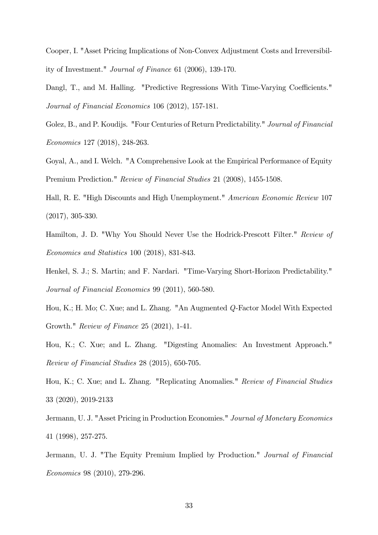Cooper, I. "Asset Pricing Implications of Non-Convex Adjustment Costs and Irreversibility of Investment." Journal of Finance 61 (2006), 139-170.

Dangl, T., and M. Halling. "Predictive Regressions With Time-Varying Coefficients." Journal of Financial Economics 106 (2012), 157-181.

Golez, B., and P. Koudijs. "Four Centuries of Return Predictability." Journal of Financial Economics 127 (2018), 248-263.

Goyal, A., and I. Welch. "A Comprehensive Look at the Empirical Performance of Equity Premium Prediction." Review of Financial Studies 21 (2008), 1455-1508.

Hall, R. E. "High Discounts and High Unemployment." American Economic Review 107 (2017), 305-330.

Hamilton, J. D. "Why You Should Never Use the Hodrick-Prescott Filter." Review of Economics and Statistics 100 (2018), 831-843.

Henkel, S. J.; S. Martin; and F. Nardari. "Time-Varying Short-Horizon Predictability." Journal of Financial Economics 99 (2011), 560-580.

Hou, K.; H. Mo; C. Xue; and L. Zhang. "An Augmented Q-Factor Model With Expected Growth." Review of Finance 25 (2021), 1-41.

Hou, K.; C. Xue; and L. Zhang. "Digesting Anomalies: An Investment Approach." Review of Financial Studies 28 (2015), 650-705.

Hou, K.; C. Xue; and L. Zhang. "Replicating Anomalies." Review of Financial Studies 33 (2020), 2019-2133

Jermann, U. J. "Asset Pricing in Production Economies." Journal of Monetary Economics 41 (1998), 257-275.

Jermann, U. J. "The Equity Premium Implied by Production." Journal of Financial Economics 98 (2010), 279-296.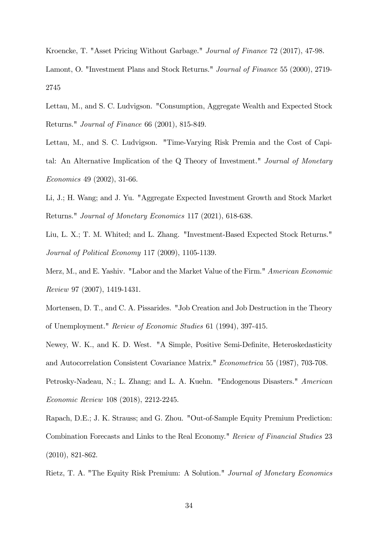Kroencke, T. "Asset Pricing Without Garbage." Journal of Finance 72 (2017), 47-98.

Lamont, O. "Investment Plans and Stock Returns." Journal of Finance 55 (2000), 2719- 2745

- Lettau, M., and S. C. Ludvigson. "Consumption, Aggregate Wealth and Expected Stock Returns." Journal of Finance 66 (2001), 815-849.
- Lettau, M., and S. C. Ludvigson. "Time-Varying Risk Premia and the Cost of Capital: An Alternative Implication of the Q Theory of Investment." Journal of Monetary Economics 49 (2002), 31-66.
- Li, J.; H. Wang; and J. Yu. "Aggregate Expected Investment Growth and Stock Market Returns." Journal of Monetary Economics 117 (2021), 618-638.

Liu, L. X.; T. M. Whited; and L. Zhang. "Investment-Based Expected Stock Returns." Journal of Political Economy 117 (2009), 1105-1139.

Merz, M., and E. Yashiv. "Labor and the Market Value of the Firm." American Economic Review 97 (2007), 1419-1431.

Mortensen, D. T., and C. A. Pissarides. "Job Creation and Job Destruction in the Theory of Unemployment." Review of Economic Studies 61 (1994), 397-415.

Newey, W. K., and K. D. West. "A Simple, Positive Semi-Definite, Heteroskedasticity and Autocorrelation Consistent Covariance Matrix." Econometrica 55 (1987), 703-708. Petrosky-Nadeau, N.; L. Zhang; and L. A. Kuehn. "Endogenous Disasters." American

Economic Review 108 (2018), 2212-2245.

Rapach, D.E.; J. K. Strauss; and G. Zhou. "Out-of-Sample Equity Premium Prediction: Combination Forecasts and Links to the Real Economy." Review of Financial Studies 23 (2010), 821-862.

Rietz, T. A. "The Equity Risk Premium: A Solution." Journal of Monetary Economics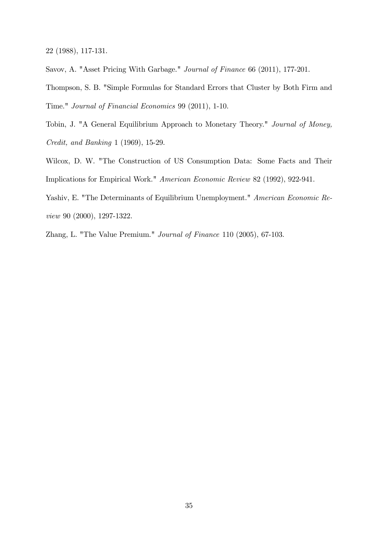22 (1988), 117-131.

Savov, A. "Asset Pricing With Garbage." Journal of Finance 66 (2011), 177-201.

Thompson, S. B. "Simple Formulas for Standard Errors that Cluster by Both Firm and Time." Journal of Financial Economics 99 (2011), 1-10.

- Tobin, J. "A General Equilibrium Approach to Monetary Theory." Journal of Money, Credit, and Banking 1 (1969), 15-29.
- Wilcox, D. W. "The Construction of US Consumption Data: Some Facts and Their Implications for Empirical Work." American Economic Review 82 (1992), 922-941.
- Yashiv, E. "The Determinants of Equilibrium Unemployment." American Economic Review 90 (2000), 1297-1322.
- Zhang, L. "The Value Premium." Journal of Finance 110 (2005), 67-103.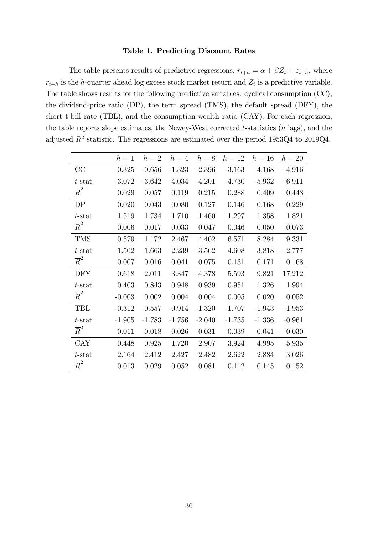## Table 1. Predicting Discount Rates

The table presents results of predictive regressions,  $r_{t+h} = \alpha + \beta Z_t + \varepsilon_{t+h}$ , where  $r_{t+h}$  is the h-quarter ahead log excess stock market return and  $Z_t$  is a predictive variable. The table shows results for the following predictive variables: cyclical consumption (CC), the dividend-price ratio (DP), the term spread (TMS), the default spread (DFY), the short t-bill rate (TBL), and the consumption-wealth ratio (CAY). For each regression, the table reports slope estimates, the Newey-West corrected  $t$ -statistics  $(h \text{ lags})$ , and the adjusted  $R^2$  statistic. The regressions are estimated over the period 1953Q4 to 2019Q4.

|                  | $h=1$    | $h=2$    | $h=4$    | $h=8$    | $h=12$    | $h=16$   | $h=20$   |
|------------------|----------|----------|----------|----------|-----------|----------|----------|
| CC               | $-0.325$ | $-0.656$ | $-1.323$ | $-2.396$ | $-3.163$  | $-4.168$ | $-4.916$ |
| $t$ -stat        | $-3.072$ | $-3.642$ | $-4.034$ | $-4.201$ | $-4.730$  | $-5.932$ | $-6.911$ |
| $\overline{R}^2$ | 0.029    | 0.057    | 0.119    | 0.215    | 0.288     | 0.409    | 0.443    |
| DP               | 0.020    | 0.043    | 0.080    | 0.127    | 0.146     | 0.168    | 0.229    |
| $t$ -stat        | 1.519    | 1.734    | 1.710    | 1.460    | 1.297     | 1.358    | 1.821    |
| $\overline{R}^2$ | 0.006    | 0.017    | 0.033    | 0.047    | 0.046     | 0.050    | 0.073    |
| <b>TMS</b>       | 0.579    | 1.172    | 2.467    | 4.402    | 6.571     | 8.284    | 9.331    |
| $t$ -stat        | 1.502    | 1.663    | 2.239    | 3.562    | 4.608     | 3.818    | 2.777    |
| $\overline{R}^2$ | 0.007    | 0.016    | 0.041    | 0.075    | 0.131     | 0.171    | 0.168    |
| <b>DFY</b>       | 0.618    | 2.011    | 3.347    | 4.378    | $5.593\,$ | 9.821    | 17.212   |
| $t$ -stat        | 0.403    | 0.843    | 0.948    | 0.939    | 0.951     | 1.326    | 1.994    |
| $\overline{R}^2$ | $-0.003$ | 0.002    | 0.004    | 0.004    | 0.005     | 0.020    | 0.052    |
| TBL              | $-0.312$ | $-0.557$ | $-0.914$ | $-1.320$ | $-1.707$  | $-1.943$ | $-1.953$ |
| $t$ -stat        | $-1.905$ | $-1.783$ | $-1.756$ | $-2.040$ | $-1.735$  | $-1.336$ | $-0.961$ |
| $\overline{R}^2$ | 0.011    | 0.018    | 0.026    | 0.031    | 0.039     | 0.041    | 0.030    |
| <b>CAY</b>       | 0.448    | 0.925    | 1.720    | 2.907    | 3.924     | 4.995    | 5.935    |
| $t$ -stat        | 2.164    | 2.412    | 2.427    | 2.482    | 2.622     | 2.884    | 3.026    |
| $\overline{R}^2$ | 0.013    | 0.029    | 0.052    | 0.081    | 0.112     | 0.145    | 0.152    |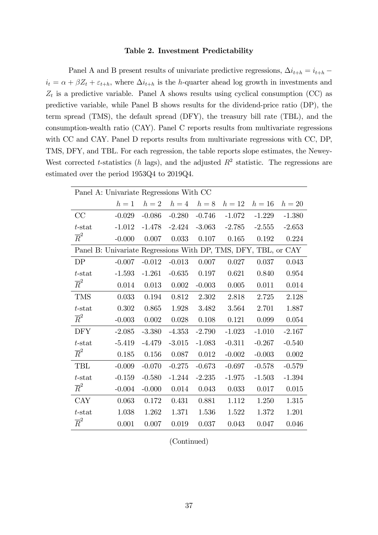#### Table 2. Investment Predictability

Panel A and B present results of univariate predictive regressions,  $\Delta i_{t+h} = i_{t+h}$  $i_t = \alpha + \beta Z_t + \varepsilon_{t+h}$ , where  $\Delta i_{t+h}$  is the h-quarter ahead log growth in investments and  $Z_t$  is a predictive variable. Panel A shows results using cyclical consumption (CC) as predictive variable, while Panel B shows results for the dividend-price ratio (DP), the term spread (TMS), the default spread (DFY), the treasury bill rate (TBL), and the consumption-wealth ratio (CAY). Panel C reports results from multivariate regressions with CC and CAY. Panel D reports results from multivariate regressions with CC, DP, TMS, DFY, and TBL. For each regression, the table reports slope estimates, the Newey-West corrected t-statistics (h lags), and the adjusted  $R^2$  statistic. The regressions are estimated over the period 1953Q4 to 2019Q4.

| Panel A: Univariate Regressions With CC                        |          |           |          |          |          |          |          |
|----------------------------------------------------------------|----------|-----------|----------|----------|----------|----------|----------|
|                                                                | $h=1$    | $h=2$     | $h=4$    | $h=8$    | $h=12$   | $h=16$   | $h=20$   |
| CC                                                             | $-0.029$ | $-0.086$  | $-0.280$ | $-0.746$ | $-1.072$ | $-1.229$ | $-1.380$ |
| $t$ -stat                                                      | $-1.012$ | $-1.478$  | $-2.424$ | $-3.063$ | $-2.785$ | $-2.555$ | $-2.653$ |
| $\overline{R}^2$                                               | $-0.000$ | 0.007     | 0.033    | 0.107    | 0.165    | 0.192    | 0.224    |
| Panel B: Univariate Regressions With DP, TMS, DFY, TBL, or CAY |          |           |          |          |          |          |          |
| DP                                                             | $-0.007$ | $-0.012$  | $-0.013$ | 0.007    | 0.027    | 0.037    | 0.043    |
| $t$ -stat                                                      | $-1.593$ | $-1.261$  | $-0.635$ | 0.197    | 0.621    | 0.840    | 0.954    |
| $\overline{R}^2$                                               | 0.014    | 0.013     | 0.002    | $-0.003$ | 0.005    | 0.011    | 0.014    |
| <b>TMS</b>                                                     | 0.033    | 0.194     | 0.812    | 2.302    | 2.818    | 2.725    | 2.128    |
| $t$ -stat                                                      | 0.302    | 0.865     | 1.928    | 3.482    | 3.564    | 2.701    | 1.887    |
| $\overline{R}^2$                                               | $-0.003$ | $0.002\,$ | 0.028    | 0.108    | 0.121    | 0.099    | 0.054    |
| <b>DFY</b>                                                     | $-2.085$ | $-3.380$  | $-4.353$ | $-2.790$ | $-1.023$ | $-1.010$ | $-2.167$ |
| $t$ -stat                                                      | $-5.419$ | $-4.479$  | $-3.015$ | $-1.083$ | $-0.311$ | $-0.267$ | $-0.540$ |
| $\overline{R}^2$                                               | 0.185    | 0.156     | 0.087    | 0.012    | $-0.002$ | $-0.003$ | 0.002    |
| <b>TBL</b>                                                     | $-0.009$ | $-0.070$  | $-0.275$ | $-0.673$ | $-0.697$ | $-0.578$ | $-0.579$ |
| $t$ -stat                                                      | $-0.159$ | $-0.580$  | $-1.244$ | $-2.235$ | $-1.975$ | $-1.503$ | $-1.394$ |
| $\overline{R}^2$                                               | $-0.004$ | $-0.000$  | 0.014    | 0.043    | 0.033    | 0.017    | 0.015    |
| <b>CAY</b>                                                     | 0.063    | 0.172     | 0.431    | 0.881    | 1.112    | 1.250    | 1.315    |
| $t$ -stat                                                      | 1.038    | 1.262     | 1.371    | 1.536    | 1.522    | 1.372    | 1.201    |
| $\overline{R}^2$                                               | 0.001    | 0.007     | 0.019    | 0.037    | 0.043    | 0.047    | 0.046    |

(Continued)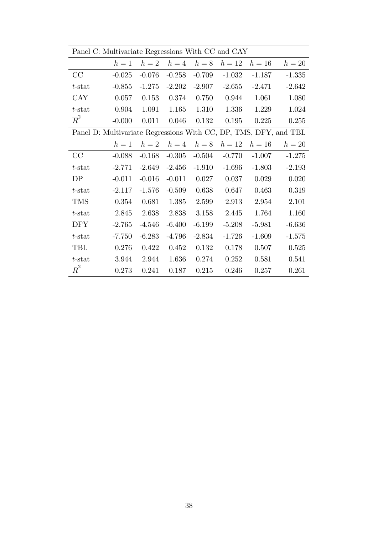|                                                                  | Panel C: Multivariate Regressions With CC and CAY |          |             |          |          |          |          |  |  |  |  |
|------------------------------------------------------------------|---------------------------------------------------|----------|-------------|----------|----------|----------|----------|--|--|--|--|
|                                                                  | $h=1$                                             |          | $h=2$ $h=4$ | $h=8$    | $h=12$   | $h=16$   | $h=20$   |  |  |  |  |
| CC                                                               | $-0.025$                                          | $-0.076$ | $-0.258$    | $-0.709$ | $-1.032$ | $-1.187$ | $-1.335$ |  |  |  |  |
| $t$ -stat                                                        | $-0.855$                                          | $-1.275$ | $-2.202$    | $-2.907$ | $-2.655$ | $-2.471$ | $-2.642$ |  |  |  |  |
| <b>CAY</b>                                                       | 0.057                                             | 0.153    | 0.374       | 0.750    | 0.944    | 1.061    | 1.080    |  |  |  |  |
| $t$ -stat                                                        | 0.904                                             | 1.091    | 1.165       | 1.310    | 1.336    | 1.229    | 1.024    |  |  |  |  |
| $\overline{R}^2$                                                 | $-0.000$                                          | 0.011    | 0.046       | 0.132    | 0.195    | 0.225    | 0.255    |  |  |  |  |
| Panel D: Multivariate Regressions With CC, DP, TMS, DFY, and TBL |                                                   |          |             |          |          |          |          |  |  |  |  |
|                                                                  | $h=1$                                             |          | $h=2$ $h=4$ | $h=8$    | $h=12$   | $h=16$   | $h=20$   |  |  |  |  |
| CC                                                               | $-0.088$                                          | $-0.168$ | $-0.305$    | $-0.504$ | $-0.770$ | $-1.007$ | $-1.275$ |  |  |  |  |
| $t$ -stat                                                        | $-2.771$                                          | $-2.649$ | $-2.456$    | $-1.910$ | $-1.696$ | $-1.803$ | $-2.193$ |  |  |  |  |
| DP                                                               | $-0.011$                                          | $-0.016$ | $-0.011$    | 0.027    | 0.037    | 0.029    | 0.020    |  |  |  |  |
| $t$ -stat                                                        | $-2.117$                                          | $-1.576$ | $-0.509$    | 0.638    | 0.647    | 0.463    | 0.319    |  |  |  |  |
| <b>TMS</b>                                                       | 0.354                                             | 0.681    | 1.385       | 2.599    | 2.913    | 2.954    | 2.101    |  |  |  |  |
| $t$ -stat                                                        | 2.845                                             | 2.638    | 2.838       | 3.158    | 2.445    | 1.764    | 1.160    |  |  |  |  |
| <b>DFY</b>                                                       | $-2.765$                                          | $-4.546$ | $-6.400$    | $-6.199$ | $-5.208$ | $-5.981$ | $-6.636$ |  |  |  |  |
| $t$ -stat                                                        | $-7.750$                                          | $-6.283$ | $-4.796$    | $-2.834$ | $-1.726$ | $-1.609$ | $-1.575$ |  |  |  |  |
| TBL                                                              | 0.276                                             | 0.422    | 0.452       | 0.132    | 0.178    | 0.507    | 0.525    |  |  |  |  |
| $t$ -stat                                                        | 3.944                                             | 2.944    | 1.636       | 0.274    | 0.252    | 0.581    | 0.541    |  |  |  |  |
| $\overline{R}^2$                                                 | 0.273                                             | 0.241    | 0.187       | 0.215    | 0.246    | 0.257    | 0.261    |  |  |  |  |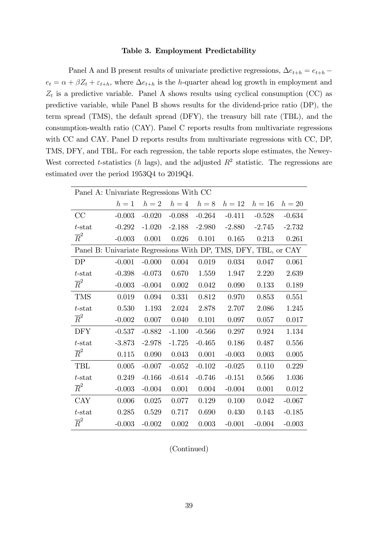#### Table 3. Employment Predictability

Panel A and B present results of univariate predictive regressions,  $\Delta e_{t+h} = e_{t+h}$  $e_t = \alpha + \beta Z_t + \varepsilon_{t+h}$ , where  $\Delta e_{t+h}$  is the *h*-quarter ahead log growth in employment and  $Z_t$  is a predictive variable. Panel A shows results using cyclical consumption (CC) as predictive variable, while Panel B shows results for the dividend-price ratio (DP), the term spread (TMS), the default spread (DFY), the treasury bill rate (TBL), and the consumption-wealth ratio (CAY). Panel C reports results from multivariate regressions with CC and CAY. Panel D reports results from multivariate regressions with CC, DP, TMS, DFY, and TBL. For each regression, the table reports slope estimates, the Newey-West corrected t-statistics (h lags), and the adjusted  $R^2$  statistic. The regressions are estimated over the period 1953Q4 to 2019Q4.

| Panel A: Univariate Regressions With CC                        |          |          |          |          |          |          |          |
|----------------------------------------------------------------|----------|----------|----------|----------|----------|----------|----------|
|                                                                | $h=1$    | $h=2$    | $h=4$    | $h=8$    | $h=12$   | $h=16$   | $h=20$   |
| CC                                                             | $-0.003$ | $-0.020$ | $-0.088$ | $-0.264$ | $-0.411$ | $-0.528$ | $-0.634$ |
| $t$ -stat                                                      | $-0.292$ | $-1.020$ | $-2.188$ | $-2.980$ | $-2.880$ | $-2.745$ | $-2.732$ |
| $\overline{R}^2$                                               | $-0.003$ | 0.001    | 0.026    | 0.101    | 0.165    | 0.213    | 0.261    |
| Panel B: Univariate Regressions With DP, TMS, DFY, TBL, or CAY |          |          |          |          |          |          |          |
| DP                                                             | $-0.001$ | $-0.000$ | 0.004    | 0.019    | 0.034    | 0.047    | 0.061    |
| $t$ -stat                                                      | $-0.398$ | $-0.073$ | 0.670    | 1.559    | 1.947    | 2.220    | 2.639    |
| $\overline{R}^2$                                               | $-0.003$ | $-0.004$ | 0.002    | 0.042    | 0.090    | 0.133    | 0.189    |
| <b>TMS</b>                                                     | 0.019    | 0.094    | 0.331    | 0.812    | 0.970    | 0.853    | 0.551    |
| $t$ -stat                                                      | 0.530    | 1.193    | 2.024    | 2.878    | 2.707    | 2.086    | 1.245    |
| $\overline{R}^2$                                               | $-0.002$ | 0.007    | 0.040    | 0.101    | 0.097    | 0.057    | 0.017    |
| <b>DFY</b>                                                     | $-0.537$ | $-0.882$ | $-1.100$ | $-0.566$ | 0.297    | 0.924    | 1.134    |
| $t$ -stat                                                      | $-3.873$ | $-2.978$ | $-1.725$ | $-0.465$ | 0.186    | 0.487    | 0.556    |
| $\overline{R}^2$                                               | 0.115    | 0.090    | 0.043    | 0.001    | $-0.003$ | 0.003    | 0.005    |
| TBL                                                            | 0.005    | $-0.007$ | $-0.052$ | $-0.102$ | $-0.025$ | 0.110    | 0.229    |
| $t$ -stat                                                      | 0.249    | $-0.166$ | $-0.614$ | $-0.746$ | $-0.151$ | 0.566    | 1.036    |
| $\overline{R}^2$                                               | $-0.003$ | $-0.004$ | 0.001    | 0.004    | $-0.004$ | 0.001    | 0.012    |
| <b>CAY</b>                                                     | 0.006    | 0.025    | 0.077    | 0.129    | 0.100    | 0.042    | $-0.067$ |
| $t$ -stat                                                      | 0.285    | 0.529    | 0.717    | 0.690    | 0.430    | 0.143    | $-0.185$ |
| $\overline{R}^2$                                               | $-0.003$ | $-0.002$ | 0.002    | 0.003    | $-0.001$ | $-0.004$ | $-0.003$ |

(Continued)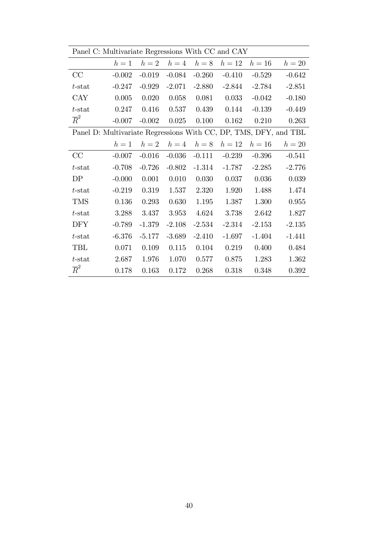| Panel C: Multivariate Regressions With CC and CAY                |          |           |             |          |          |          |          |
|------------------------------------------------------------------|----------|-----------|-------------|----------|----------|----------|----------|
|                                                                  | $h=1$    |           | $h=2$ $h=4$ | $h=8$    | $h=12$   | $h=16$   | $h=20$   |
| CC                                                               | $-0.002$ | $-0.019$  | $-0.084$    | $-0.260$ | $-0.410$ | $-0.529$ | $-0.642$ |
| $t$ -stat                                                        | $-0.247$ | $-0.929$  | $-2.071$    | $-2.880$ | $-2.844$ | $-2.784$ | $-2.851$ |
| <b>CAY</b>                                                       | 0.005    | 0.020     | 0.058       | 0.081    | 0.033    | $-0.042$ | $-0.180$ |
| $t$ -stat                                                        | 0.247    | 0.416     | 0.537       | 0.439    | 0.144    | $-0.139$ | $-0.449$ |
| $\overline{R}^2$                                                 | $-0.007$ | $-0.002$  | 0.025       | 0.100    | 0.162    | 0.210    | 0.263    |
| Panel D: Multivariate Regressions With CC, DP, TMS, DFY, and TBL |          |           |             |          |          |          |          |
|                                                                  | $h=1$    | $h=2$     | $h=4$       | $h=8$    | $h=12$   | $h=16$   | $h=20$   |
| CC                                                               | $-0.007$ | $-0.016$  | $-0.036$    | $-0.111$ | $-0.239$ | $-0.396$ | $-0.541$ |
| $t$ -stat                                                        | $-0.708$ | $-0.726$  | $-0.802$    | $-1.314$ | $-1.787$ | $-2.285$ | $-2.776$ |
| DP                                                               | $-0.000$ | 0.001     | 0.010       | 0.030    | 0.037    | 0.036    | 0.039    |
| $t$ -stat                                                        | $-0.219$ | 0.319     | 1.537       | 2.320    | 1.920    | 1.488    | 1.474    |
| <b>TMS</b>                                                       | 0.136    | 0.293     | 0.630       | 1.195    | 1.387    | 1.300    | 0.955    |
| $t$ -stat                                                        | 3.288    | 3.437     | 3.953       | 4.624    | 3.738    | 2.642    | 1.827    |
| <b>DFY</b>                                                       | $-0.789$ | $-1.379$  | $-2.108$    | $-2.534$ | $-2.314$ | $-2.153$ | $-2.135$ |
| $t$ -stat                                                        | $-6.376$ | $-5.177$  | $-3.689$    | $-2.410$ | $-1.697$ | $-1.404$ | $-1.441$ |
| TBL                                                              | 0.071    | $0.109\,$ | 0.115       | 0.104    | 0.219    | 0.400    | 0.484    |
| $t$ -stat                                                        | 2.687    | 1.976     | 1.070       | 0.577    | 0.875    | 1.283    | 1.362    |
| $\overline{R}^2$                                                 | 0.178    | 0.163     | 0.172       | 0.268    | 0.318    | 0.348    | 0.392    |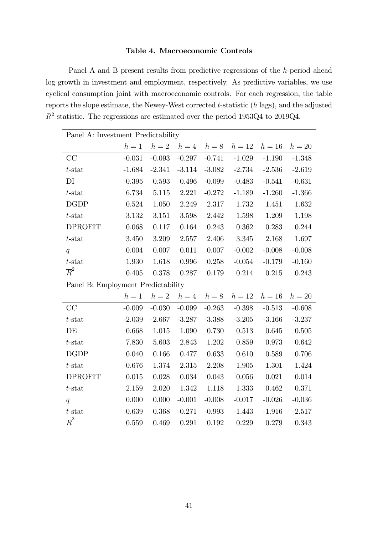# Table 4. Macroeconomic Controls

Panel A and B present results from predictive regressions of the h-period ahead log growth in investment and employment, respectively. As predictive variables, we use cyclical consumption joint with macroeconomic controls. For each regression, the table reports the slope estimate, the Newey-West corrected t-statistic (h lags), and the adjusted  $R<sup>2</sup>$  statistic. The regressions are estimated over the period 1953Q4 to 2019Q4.

|                                    | Panel A: Investment Predictability |          |           |           |          |          |          |  |  |  |
|------------------------------------|------------------------------------|----------|-----------|-----------|----------|----------|----------|--|--|--|
|                                    | $h=1$                              | $h=2$    | $h=4$     | $h=8$     | $h=12$   | $h=16$   | $h=20$   |  |  |  |
| CC                                 | $-0.031$                           | $-0.093$ | $-0.297$  | $-0.741$  | $-1.029$ | $-1.190$ | $-1.348$ |  |  |  |
| $t$ -stat                          | $-1.684$                           | $-2.341$ | $-3.114$  | $-3.082$  | $-2.734$ | $-2.536$ | $-2.619$ |  |  |  |
| DI                                 | 0.395                              | 0.593    | 0.496     | $-0.099$  | $-0.483$ | $-0.541$ | $-0.631$ |  |  |  |
| $t$ -stat                          | 6.734                              | 5.115    | 2.221     | $-0.272$  | $-1.189$ | $-1.260$ | $-1.366$ |  |  |  |
| <b>DGDP</b>                        | 0.524                              | 1.050    | 2.249     | 2.317     | 1.732    | 1.451    | 1.632    |  |  |  |
| $t$ -stat                          | 3.132                              | 3.151    | 3.598     | 2.442     | 1.598    | 1.209    | 1.198    |  |  |  |
| <b>DPROFIT</b>                     | 0.068                              | 0.117    | 0.164     | 0.243     | 0.362    | 0.283    | 0.244    |  |  |  |
| $t$ -stat                          | $3.450\,$                          | 3.209    | 2.557     | 2.406     | 3.345    | 2.168    | 1.697    |  |  |  |
| q                                  | 0.004                              | 0.007    | $0.011\,$ | 0.007     | $-0.002$ | $-0.008$ | $-0.008$ |  |  |  |
| $t$ -stat                          | 1.930                              | 1.618    | 0.996     | 0.258     | $-0.054$ | $-0.179$ | $-0.160$ |  |  |  |
| $\overline{R}^2$                   | 0.405                              | 0.378    | 0.287     | 0.179     | 0.214    | 0.215    | 0.243    |  |  |  |
| Panel B: Employment Predictability |                                    |          |           |           |          |          |          |  |  |  |
|                                    | $h=1$                              | $h=2$    | $h=4$     | $h=8$     | $h=12$   | $h=16$   | $h=20$   |  |  |  |
| CC                                 | $-0.009$                           | $-0.030$ | $-0.099$  | $-0.263$  | $-0.398$ | $-0.513$ | $-0.608$ |  |  |  |
| $t$ -stat                          | $-2.039$                           | $-2.667$ | $-3.287$  | $-3.388$  | $-3.205$ | $-3.166$ | $-3.237$ |  |  |  |
| DE                                 | 0.668                              | 1.015    | 1.090     | 0.730     | 0.513    | 0.645    | 0.505    |  |  |  |
| $t$ -stat                          | 7.830                              | 5.603    | 2.843     | 1.202     | 0.859    | 0.973    | 0.642    |  |  |  |
| <b>DGDP</b>                        | 0.040                              | 0.166    | 0.477     | 0.633     | 0.610    | 0.589    | 0.706    |  |  |  |
| $t$ -stat                          | 0.676                              | 1.374    | 2.315     | 2.208     | 1.905    | 1.301    | 1.424    |  |  |  |
| <b>DPROFIT</b>                     | 0.015                              | 0.028    | 0.034     | $0.043\,$ | 0.056    | 0.021    | 0.014    |  |  |  |
| $t$ -stat                          | 2.159                              | 2.020    | 1.342     | 1.118     | 1.333    | 0.462    | 0.371    |  |  |  |
| q                                  | 0.000                              | 0.000    | $-0.001$  | $-0.008$  | $-0.017$ | $-0.026$ | $-0.036$ |  |  |  |
| $t$ -stat                          | 0.639                              | 0.368    | $-0.271$  | $-0.993$  | $-1.443$ | $-1.916$ | $-2.517$ |  |  |  |
| $\overline{R}^2$                   | 0.559                              | 0.469    | 0.291     | 0.192     | 0.229    | 0.279    | 0.343    |  |  |  |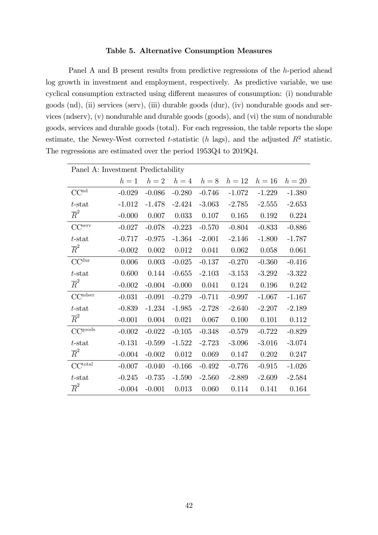#### Table 5. Alternative Consumption Measures

Panel A and B present results from predictive regressions of the h-period ahead log growth in investment and employment, respectively. As predictive variable, we use cyclical consumption extracted using different measures of consumption: (i) nondurable goods (nd), (ii) services (serv), (iii) durable goods (dur), (iv) nondurable goods and services (ndserv), (v) nondurable and durable goods (goods), and (vi) the sum of nondurable goods, services and durable goods (total). For each regression, the table reports the slope estimate, the Newey-West corrected t-statistic (h lags), and the adjusted  $R^2$  statistic. The regressions are estimated over the period 1953Q4 to 2019Q4.

| Panel A: Investment Predictability |          |          |           |          |          |          |          |
|------------------------------------|----------|----------|-----------|----------|----------|----------|----------|
|                                    | $h=1$    | $h=2$    | $h=4$     | $h=8$    | $h=12$   | $h=16$   | $h=20$   |
| CC <sup>nd</sup>                   | $-0.029$ | $-0.086$ | $-0.280$  | $-0.746$ | $-1.072$ | $-1.229$ | $-1.380$ |
| $t$ -stat                          | $-1.012$ | $-1.478$ | $-2.424$  | $-3.063$ | $-2.785$ | $-2.555$ | $-2.653$ |
| $\overline{R}^2$                   | $-0.000$ | 0.007    | 0.033     | 0.107    | 0.165    | 0.192    | 0.224    |
| CC <sup>serv</sup>                 | $-0.027$ | $-0.078$ | $-0.223$  | $-0.570$ | $-0.804$ | $-0.833$ | $-0.886$ |
| $t$ -stat                          | $-0.717$ | $-0.975$ | $-1.364$  | $-2.001$ | $-2.146$ | $-1.800$ | $-1.787$ |
| $\overline{R}^2$                   | $-0.002$ | 0.002    | 0.012     | 0.041    | 0.062    | 0.058    | 0.061    |
| $CC^{dur}$                         | 0.006    | 0.003    | $-0.025$  | $-0.137$ | $-0.270$ | $-0.360$ | $-0.416$ |
| $t$ -stat                          | 0.600    | 0.144    | $-0.655$  | $-2.103$ | $-3.153$ | $-3.292$ | $-3.322$ |
| $\overline{R}^2$                   | $-0.002$ | $-0.004$ | $-0.000$  | 0.041    | 0.124    | 0.196    | 0.242    |
| CC <sup>ndser</sup>                | $-0.031$ | $-0.091$ | $-0.279$  | $-0.711$ | $-0.997$ | $-1.067$ | $-1.167$ |
| $t$ -stat                          | $-0.839$ | $-1.234$ | $-1.985$  | $-2.728$ | $-2.640$ | $-2.207$ | $-2.189$ |
| $\overline{R}^2$                   | $-0.001$ | 0.004    | 0.021     | 0.067    | 0.100    | 0.101    | 0.112    |
| CC <sup>goods</sup>                | $-0.002$ | $-0.022$ | $-0.105$  | $-0.348$ | $-0.579$ | $-0.722$ | $-0.829$ |
| $t$ -stat                          | $-0.131$ | $-0.599$ | $-1.522$  | $-2.723$ | $-3.096$ | $-3.016$ | $-3.074$ |
| $\overline{R}^2$                   | $-0.004$ | $-0.002$ | $0.012\,$ | 0.069    | 0.147    | 0.202    | 0.247    |
| CC <sup>total</sup>                | $-0.007$ | $-0.040$ | $-0.166$  | $-0.492$ | $-0.776$ | $-0.915$ | $-1.026$ |
| $t$ -stat                          | $-0.245$ | $-0.735$ | $-1.590$  | $-2.560$ | $-2.889$ | $-2.609$ | $-2.584$ |
| $\overline{R}^2$                   | $-0.004$ | $-0.001$ | 0.013     | 0.060    | 0.114    | 0.141    | 0.164    |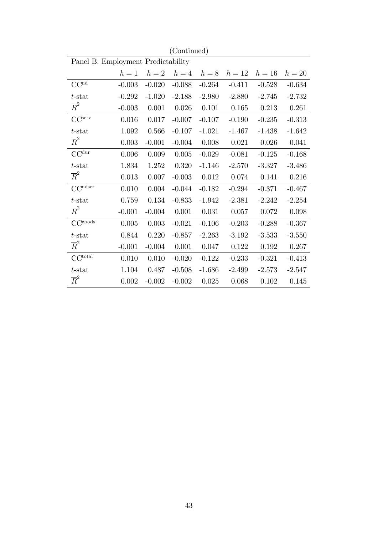|                                          |          |          | Continued) |          |          |          |          |
|------------------------------------------|----------|----------|------------|----------|----------|----------|----------|
| Panel B: Employment Predictability       |          |          |            |          |          |          |          |
|                                          | $h=1$    | $h=2$    | $h=4$      | $h=8$    | $h=12$   | $h=16$   | $h=20$   |
| $\ensuremath{\mathrm{CC}^{\mathrm{nd}}}$ | $-0.003$ | $-0.020$ | $-0.088$   | $-0.264$ | $-0.411$ | $-0.528$ | $-0.634$ |
| $t$ -stat                                | $-0.292$ | $-1.020$ | $-2.188$   | $-2.980$ | $-2.880$ | $-2.745$ | $-2.732$ |
| $\overline{R}^2$                         | $-0.003$ | 0.001    | 0.026      | 0.101    | 0.165    | 0.213    | 0.261    |
| CC <sup>serv</sup>                       | 0.016    | 0.017    | $-0.007$   | $-0.107$ | $-0.190$ | $-0.235$ | $-0.313$ |
| $t$ -stat                                | 1.092    | 0.566    | $-0.107$   | $-1.021$ | $-1.467$ | $-1.438$ | $-1.642$ |
| $\overline{R}^2$                         | 0.003    | $-0.001$ | $-0.004$   | 0.008    | 0.021    | 0.026    | 0.041    |
| $CC^{dur}$                               | 0.006    | 0.009    | $0.005\,$  | $-0.029$ | $-0.081$ | $-0.125$ | $-0.168$ |
| $t$ -stat                                | 1.834    | 1.252    | 0.320      | $-1.146$ | $-2.570$ | $-3.327$ | $-3.486$ |
| $\overline{R}^2$                         | 0.013    | 0.007    | $-0.003$   | 0.012    | 0.074    | 0.141    | 0.216    |
| $CC1$ dser                               | 0.010    | 0.004    | $-0.044$   | $-0.182$ | $-0.294$ | $-0.371$ | $-0.467$ |
| $t$ -stat                                | 0.759    | 0.134    | $-0.833$   | $-1.942$ | $-2.381$ | $-2.242$ | $-2.254$ |
| $\overline{R}^2$                         | $-0.001$ | $-0.004$ | 0.001      | 0.031    | 0.057    | 0.072    | 0.098    |
| CC <sub>goods</sub>                      | 0.005    | 0.003    | $-0.021$   | $-0.106$ | $-0.203$ | $-0.288$ | $-0.367$ |
| $t$ -stat                                | 0.844    | 0.220    | $-0.857$   | $-2.263$ | $-3.192$ | $-3.533$ | $-3.550$ |
| $\overline{R}^2$                         | $-0.001$ | $-0.004$ | 0.001      | 0.047    | 0.122    | 0.192    | 0.267    |
| CC <sup>total</sup>                      | 0.010    | 0.010    | $-0.020$   | $-0.122$ | $-0.233$ | $-0.321$ | $-0.413$ |
| $t$ -stat                                | 1.104    | 0.487    | $-0.508$   | $-1.686$ | $-2.499$ | $-2.573$ | $-2.547$ |
| $\overline{R}^2$                         | 0.002    | $-0.002$ | $-0.002$   | 0.025    | 0.068    | 0.102    | 0.145    |

 $(C<sub>ontimod</sub>)$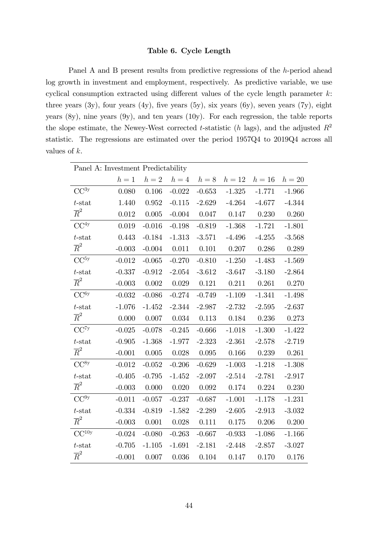## Table 6. Cycle Length

Panel A and B present results from predictive regressions of the h-period ahead log growth in investment and employment, respectively. As predictive variable, we use cyclical consumption extracted using different values of the cycle length parameter  $k$ : three years  $(3y)$ , four years  $(4y)$ , five years  $(5y)$ , six years  $(6y)$ , seven years  $(7y)$ , eight years (8y), nine years (9y), and ten years (10y). For each regression, the table reports the slope estimate, the Newey-West corrected t-statistic (h lags), and the adjusted  $R^2$ statistic. The regressions are estimated over the period 1957Q4 to 2019Q4 across all values of k.

| Panel A: Investment Predictability |          |          |          |          |          |          |          |  |  |
|------------------------------------|----------|----------|----------|----------|----------|----------|----------|--|--|
|                                    | $h=1$    | $h=2$    | $h=4$    | $h=8$    | $h=12$   | $h=16$   | $h=20$   |  |  |
| $CC^{3y}$                          | 0.080    | 0.106    | $-0.022$ | $-0.653$ | $-1.325$ | $-1.771$ | $-1.966$ |  |  |
| $t$ -stat                          | 1.440    | 0.952    | $-0.115$ | $-2.629$ | $-4.264$ | $-4.677$ | $-4.344$ |  |  |
| $\overline{R}^2$                   | 0.012    | 0.005    | $-0.004$ | 0.047    | 0.147    | 0.230    | 0.260    |  |  |
| CC <sup>4y</sup>                   | 0.019    | $-0.016$ | $-0.198$ | $-0.819$ | $-1.368$ | $-1.721$ | $-1.801$ |  |  |
| $t$ -stat                          | 0.443    | $-0.184$ | $-1.313$ | $-3.571$ | $-4.496$ | $-4.255$ | $-3.568$ |  |  |
| $\overline{R}^2$                   | $-0.003$ | $-0.004$ | 0.011    | 0.101    | 0.207    | 0.286    | 0.289    |  |  |
| CC <sup>5y</sup>                   | $-0.012$ | $-0.065$ | $-0.270$ | $-0.810$ | $-1.250$ | $-1.483$ | $-1.569$ |  |  |
| $t$ -stat                          | $-0.337$ | $-0.912$ | $-2.054$ | $-3.612$ | $-3.647$ | $-3.180$ | $-2.864$ |  |  |
| $\overline{R}^2$                   | $-0.003$ | 0.002    | 0.029    | 0.121    | 0.211    | 0.261    | 0.270    |  |  |
| $CC^{6y}$                          | $-0.032$ | $-0.086$ | $-0.274$ | $-0.749$ | $-1.109$ | $-1.341$ | $-1.498$ |  |  |
| $t$ -stat                          | $-1.076$ | $-1.452$ | $-2.344$ | $-2.987$ | $-2.732$ | $-2.595$ | $-2.637$ |  |  |
| $\overline{R}^2$                   | 0.000    | 0.007    | 0.034    | 0.113    | 0.184    | 0.236    | 0.273    |  |  |
| CC <sup>7y</sup>                   | $-0.025$ | $-0.078$ | $-0.245$ | $-0.666$ | $-1.018$ | $-1.300$ | $-1.422$ |  |  |
| $t$ -stat                          | $-0.905$ | $-1.368$ | $-1.977$ | $-2.323$ | $-2.361$ | $-2.578$ | $-2.719$ |  |  |
| $\overline{R}^2$                   | $-0.001$ | 0.005    | 0.028    | 0.095    | 0.166    | 0.239    | 0.261    |  |  |
| $CC^{8y}$                          | $-0.012$ | $-0.052$ | $-0.206$ | $-0.629$ | $-1.003$ | $-1.218$ | $-1.308$ |  |  |
| $t$ -stat                          | $-0.405$ | $-0.795$ | $-1.452$ | $-2.097$ | $-2.514$ | $-2.781$ | $-2.917$ |  |  |
| $\overline{R}^2$                   | $-0.003$ | 0.000    | 0.020    | 0.092    | 0.174    | 0.224    | 0.230    |  |  |
| $CC^{9y}$                          | $-0.011$ | $-0.057$ | $-0.237$ | $-0.687$ | $-1.001$ | $-1.178$ | $-1.231$ |  |  |
| $t$ -stat                          | $-0.334$ | $-0.819$ | $-1.582$ | $-2.289$ | $-2.605$ | $-2.913$ | $-3.032$ |  |  |
| $\overline{R}^2$                   | $-0.003$ | 0.001    | 0.028    | 0.111    | 0.175    | 0.206    | 0.200    |  |  |
| CC <sup>10y</sup>                  | $-0.024$ | $-0.080$ | $-0.263$ | $-0.667$ | $-0.933$ | $-1.086$ | $-1.166$ |  |  |
| $t$ -stat                          | $-0.705$ | $-1.105$ | $-1.691$ | $-2.181$ | $-2.448$ | $-2.857$ | $-3.027$ |  |  |
| $\overline{R}^2$                   | $-0.001$ | 0.007    | 0.036    | 0.104    | 0.147    | 0.170    | 0.176    |  |  |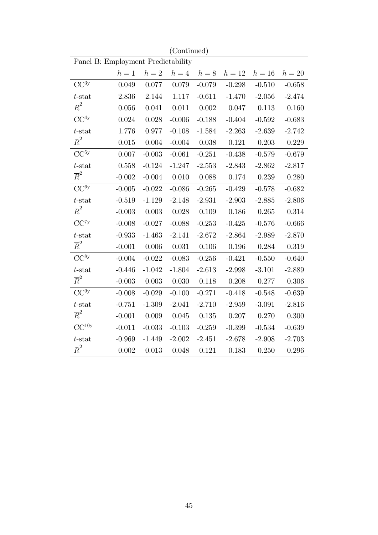|                                    |          |          | (Continued) |          |          |          |          |  |  |
|------------------------------------|----------|----------|-------------|----------|----------|----------|----------|--|--|
| Panel B: Employment Predictability |          |          |             |          |          |          |          |  |  |
|                                    | $h=1$    | $h=2$    | $h=4$       | $h=8$    | $h=12$   | $h=16$   | $h=20$   |  |  |
| $\rm CC^{3y}$                      | 0.049    | 0.077    | 0.079       | $-0.079$ | $-0.298$ | $-0.510$ | $-0.658$ |  |  |
| $t$ -stat                          | 2.836    | 2.144    | 1.117       | $-0.611$ | $-1.470$ | $-2.056$ | $-2.474$ |  |  |
| $\overline{R}^2$                   | 0.056    | 0.041    | 0.011       | 0.002    | 0.047    | 0.113    | 0.160    |  |  |
| CC <sup>4y</sup>                   | 0.024    | 0.028    | $-0.006$    | $-0.188$ | $-0.404$ | $-0.592$ | $-0.683$ |  |  |
| $t$ -stat                          | 1.776    | 0.977    | $-0.108$    | $-1.584$ | $-2.263$ | $-2.639$ | $-2.742$ |  |  |
| $\overline{R}^2$                   | 0.015    | 0.004    | $-0.004$    | 0.038    | 0.121    | 0.203    | 0.229    |  |  |
| CC <sup>5y</sup>                   | 0.007    | $-0.003$ | $-0.061$    | $-0.251$ | $-0.438$ | $-0.579$ | $-0.679$ |  |  |
| $t$ -stat                          | 0.558    | $-0.124$ | $-1.247$    | $-2.553$ | $-2.843$ | $-2.862$ | $-2.817$ |  |  |
| $\overline{R}^2$                   | $-0.002$ | $-0.004$ | 0.010       | 0.088    | 0.174    | 0.239    | 0.280    |  |  |
| $CC^{6y}$                          | $-0.005$ | $-0.022$ | $-0.086$    | $-0.265$ | $-0.429$ | $-0.578$ | $-0.682$ |  |  |
| $t$ -stat                          | $-0.519$ | $-1.129$ | $-2.148$    | $-2.931$ | $-2.903$ | $-2.885$ | $-2.806$ |  |  |
| $\overline{R}^2$                   | $-0.003$ | 0.003    | 0.028       | 0.109    | 0.186    | 0.265    | 0.314    |  |  |
| CC <sup>7y</sup>                   | $-0.008$ | $-0.027$ | $-0.088$    | $-0.253$ | $-0.425$ | $-0.576$ | $-0.666$ |  |  |
| $t$ -stat                          | $-0.933$ | $-1.463$ | $-2.141$    | $-2.672$ | $-2.864$ | $-2.989$ | $-2.870$ |  |  |
| $\overline{R}^2$                   | $-0.001$ | 0.006    | 0.031       | 0.106    | 0.196    | 0.284    | 0.319    |  |  |
| $CC^{8y}$                          | $-0.004$ | $-0.022$ | $-0.083$    | $-0.256$ | $-0.421$ | $-0.550$ | $-0.640$ |  |  |
| $t$ -stat                          | $-0.446$ | $-1.042$ | $-1.804$    | $-2.613$ | $-2.998$ | $-3.101$ | $-2.889$ |  |  |
| $\overline{R}^2$                   | $-0.003$ | 0.003    | 0.030       | 0.118    | 0.208    | 0.277    | 0.306    |  |  |
| CC <sup>9y</sup>                   | $-0.008$ | $-0.029$ | $-0.100$    | $-0.271$ | $-0.418$ | $-0.548$ | $-0.639$ |  |  |
| $t$ -stat                          | $-0.751$ | $-1.309$ | $-2.041$    | $-2.710$ | $-2.959$ | $-3.091$ | $-2.816$ |  |  |
| $\overline{R}^2$                   | $-0.001$ | 0.009    | 0.045       | 0.135    | 0.207    | 0.270    | 0.300    |  |  |
| CC <sup>10y</sup>                  | $-0.011$ | $-0.033$ | $-0.103$    | $-0.259$ | $-0.399$ | $-0.534$ | $-0.639$ |  |  |
| $t$ -stat                          | $-0.969$ | $-1.449$ | $-2.002$    | $-2.451$ | $-2.678$ | $-2.908$ | $-2.703$ |  |  |
| $\overline{R}^2$                   | 0.002    | 0.013    | 0.048       | 0.121    | 0.183    | 0.250    | 0.296    |  |  |

45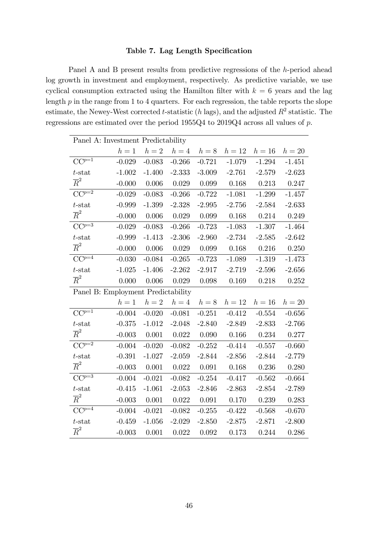## Table 7. Lag Length Specification

Panel A and B present results from predictive regressions of the h-period ahead log growth in investment and employment, respectively. As predictive variable, we use cyclical consumption extracted using the Hamilton filter with  $k = 6$  years and the lag length  $p$  in the range from 1 to 4 quarters. For each regression, the table reports the slope estimate, the Newey-West corrected t-statistic (h lags), and the adjusted  $R^2$  statistic. The regressions are estimated over the period 1955Q4 to 2019Q4 across all values of p.

| Panel A: Investment Predictability |          |          |          |          |          |          |          |  |  |
|------------------------------------|----------|----------|----------|----------|----------|----------|----------|--|--|
|                                    | $h=1$    | $h=2$    | $h=4$    | $h=8$    | $h=12$   | $h=16$   | $h=20$   |  |  |
| $CC^{p=1}$                         | $-0.029$ | $-0.083$ | $-0.266$ | $-0.721$ | $-1.079$ | $-1.294$ | $-1.451$ |  |  |
| $t$ -stat                          | $-1.002$ | $-1.400$ | $-2.333$ | $-3.009$ | $-2.761$ | $-2.579$ | $-2.623$ |  |  |
| $\overline{R}^2$                   | $-0.000$ | 0.006    | 0.029    | 0.099    | 0.168    | 0.213    | 0.247    |  |  |
| $CC^{p=2}$                         | $-0.029$ | $-0.083$ | $-0.266$ | $-0.722$ | $-1.081$ | $-1.299$ | $-1.457$ |  |  |
| $t$ -stat                          | $-0.999$ | $-1.399$ | $-2.328$ | $-2.995$ | $-2.756$ | $-2.584$ | $-2.633$ |  |  |
| $\overline{R}^2$                   | $-0.000$ | 0.006    | 0.029    | 0.099    | 0.168    | 0.214    | 0.249    |  |  |
| $CC^{p=3}$                         | $-0.029$ | $-0.083$ | $-0.266$ | $-0.723$ | $-1.083$ | $-1.307$ | $-1.464$ |  |  |
| $t$ -stat                          | $-0.999$ | $-1.413$ | $-2.306$ | $-2.960$ | $-2.734$ | $-2.585$ | $-2.642$ |  |  |
| $\overline{R}^2$                   | $-0.000$ | 0.006    | 0.029    | 0.099    | 0.168    | 0.216    | 0.250    |  |  |
| $CC^{p=4}$                         | $-0.030$ | $-0.084$ | $-0.265$ | $-0.723$ | $-1.089$ | $-1.319$ | $-1.473$ |  |  |
| $t$ -stat                          | $-1.025$ | $-1.406$ | $-2.262$ | $-2.917$ | $-2.719$ | $-2.596$ | $-2.656$ |  |  |
| $\overline{R}^2$                   | 0.000    | 0.006    | 0.029    | 0.098    | 0.169    | 0.218    | 0.252    |  |  |
| Panel B: Employment Predictability |          |          |          |          |          |          |          |  |  |
|                                    | $h=1$    | $h=2$    | $h=4$    | $h=8$    | $h=12$   | $h=16$   | $h=20$   |  |  |
| $CC^{p=1}$                         | $-0.004$ | $-0.020$ | $-0.081$ | $-0.251$ | $-0.412$ | $-0.554$ | $-0.656$ |  |  |
| $t$ -stat                          | $-0.375$ | $-1.012$ | $-2.048$ | $-2.840$ | $-2.849$ | $-2.833$ | $-2.766$ |  |  |
| $\overline{R}^2$                   | $-0.003$ | 0.001    | 0.022    | 0.090    | 0.166    | 0.234    | 0.277    |  |  |
| $CC^{p=2}$                         | $-0.004$ | $-0.020$ | $-0.082$ | $-0.252$ | $-0.414$ | $-0.557$ | $-0.660$ |  |  |
| $t$ -stat                          | $-0.391$ | $-1.027$ | $-2.059$ | $-2.844$ | $-2.856$ | $-2.844$ | $-2.779$ |  |  |
| $\overline{R}^2$                   | $-0.003$ | 0.001    | 0.022    | 0.091    | 0.168    | 0.236    | 0.280    |  |  |
| $CC^{p=3}$                         | $-0.004$ | $-0.021$ | $-0.082$ | $-0.254$ | $-0.417$ | $-0.562$ | $-0.664$ |  |  |
| $t$ -stat                          | $-0.415$ | $-1.061$ | $-2.053$ | $-2.846$ | $-2.863$ | $-2.854$ | $-2.789$ |  |  |
| $\overline{R}^2$                   | $-0.003$ | 0.001    | 0.022    | 0.091    | 0.170    | 0.239    | 0.283    |  |  |
| $CC^{p=4}$                         | $-0.004$ | $-0.021$ | $-0.082$ | $-0.255$ | $-0.422$ | $-0.568$ | $-0.670$ |  |  |
| $t$ -stat                          | $-0.459$ | $-1.056$ | $-2.029$ | $-2.850$ | $-2.875$ | $-2.871$ | $-2.800$ |  |  |
| $\overline{R}^2$                   | $-0.003$ | 0.001    | 0.022    | 0.092    | 0.173    | 0.244    | 0.286    |  |  |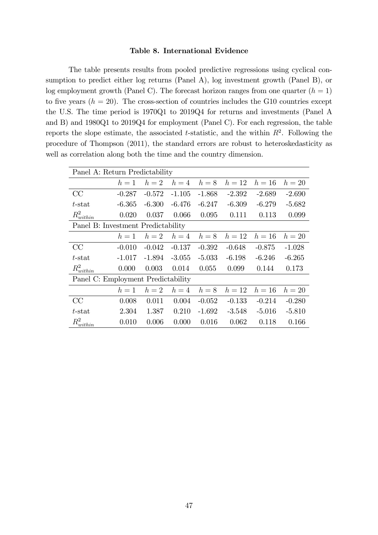#### Table 8. International Evidence

The table presents results from pooled predictive regressions using cyclical consumption to predict either log returns (Panel A), log investment growth (Panel B), or log employment growth (Panel C). The forecast horizon ranges from one quarter  $(h = 1)$ to five years  $(h = 20)$ . The cross-section of countries includes the G10 countries except the U.S. The time period is 1970Q1 to 2019Q4 for returns and investments (Panel A and B) and 1980Q1 to 2019Q4 for employment (Panel C). For each regression, the table reports the slope estimate, the associated t-statistic, and the within  $R^2$ . Following the procedure of Thompson (2011), the standard errors are robust to heteroskedasticity as well as correlation along both the time and the country dimension.

| Panel A: Return Predictability     |          |          |          |          |          |          |          |  |
|------------------------------------|----------|----------|----------|----------|----------|----------|----------|--|
|                                    | $h=1$    | $h=2$    | $h=4$    | $h=8$    | $h=12$   | $h=16$   | $h=20$   |  |
| CC                                 | $-0.287$ | $-0.572$ | $-1.105$ | $-1.868$ | $-2.392$ | $-2.689$ | $-2.690$ |  |
| $t$ -stat                          | $-6.365$ | $-6.300$ | $-6.476$ | $-6.247$ | $-6.309$ | $-6.279$ | $-5.682$ |  |
| $R_{within}^2$                     | 0.020    | 0.037    | 0.066    | 0.095    | 0.111    | 0.113    | 0.099    |  |
| Panel B: Investment Predictability |          |          |          |          |          |          |          |  |
|                                    | $h=1$    | $h=2$    | $h=4$    | $h=8$    | $h=12$   | $h=16$   | $h=20$   |  |
| CC                                 | $-0.010$ | $-0.042$ | $-0.137$ | $-0.392$ | $-0.648$ | $-0.875$ | $-1.028$ |  |
| $t$ -stat                          | $-1.017$ | $-1.894$ | $-3.055$ | $-5.033$ | $-6.198$ | $-6.246$ | $-6.265$ |  |
| $R_{within}^2$                     | 0.000    | 0.003    | 0.014    | 0.055    | 0.099    | 0.144    | 0.173    |  |
| Panel C: Employment Predictability |          |          |          |          |          |          |          |  |
|                                    | $h=1$    | $h=2$    | $h=4$    | $h=8$    | $h=12$   | $h=16$   | $h=20$   |  |
| CC                                 | 0.008    | 0.011    | 0.004    | $-0.052$ | $-0.133$ | $-0.214$ | $-0.280$ |  |
| t-stat                             | 2.304    | 1.387    | 0.210    | $-1.692$ | $-3.548$ | $-5.016$ | $-5.810$ |  |
| $R_{within}^2$                     | 0.010    | 0.006    | 0.000    | 0.016    | 0.062    | 0.118    | 0.166    |  |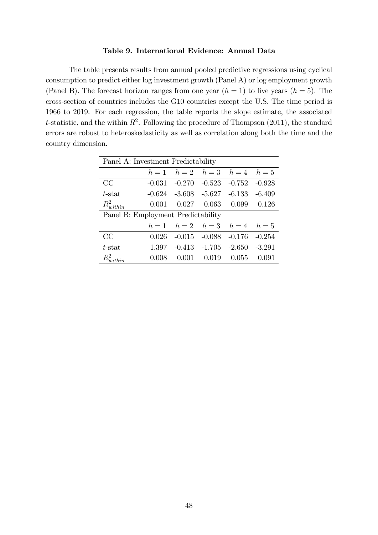#### Table 9. International Evidence: Annual Data

The table presents results from annual pooled predictive regressions using cyclical consumption to predict either log investment growth (Panel A) or log employment growth (Panel B). The forecast horizon ranges from one year  $(h = 1)$  to five years  $(h = 5)$ . The cross-section of countries includes the G10 countries except the U.S. The time period is 1966 to 2019. For each regression, the table reports the slope estimate, the associated t-statistic, and the within  $R^2$ . Following the procedure of Thompson (2011), the standard errors are robust to heteroskedasticity as well as correlation along both the time and the country dimension.

| Panel A: Investment Predictability |          |                   |                                 |          |          |
|------------------------------------|----------|-------------------|---------------------------------|----------|----------|
|                                    |          |                   | $h = 1$ $h = 2$ $h = 3$ $h = 4$ |          | $h=5$    |
| CC                                 | $-0.031$ | $-0.270$          | $-0.523$                        | $-0.752$ | $-0.928$ |
| t-stat                             | $-0.624$ | $-3.608$ $-5.627$ |                                 | $-6.133$ | $-6.409$ |
| $R_{within}^2$                     | 0.001    | 0.027             | 0.063                           | 0.099    | 0.126    |
| Panel B: Employment Predictability |          |                   |                                 |          |          |
|                                    |          |                   | $h = 1$ $h = 2$ $h = 3$ $h = 4$ |          | $h=5$    |
| CC                                 | 0.026    | $-0.015$          | $-0.088$                        | $-0.176$ | $-0.254$ |
| $t$ -stat                          | 1.397    |                   | $-0.413 -1.705$                 | $-2.650$ | $-3.291$ |
| $R_{within}^2$                     | 0.008    | 0.001             | 0.019                           | 0.055    | 0.091    |